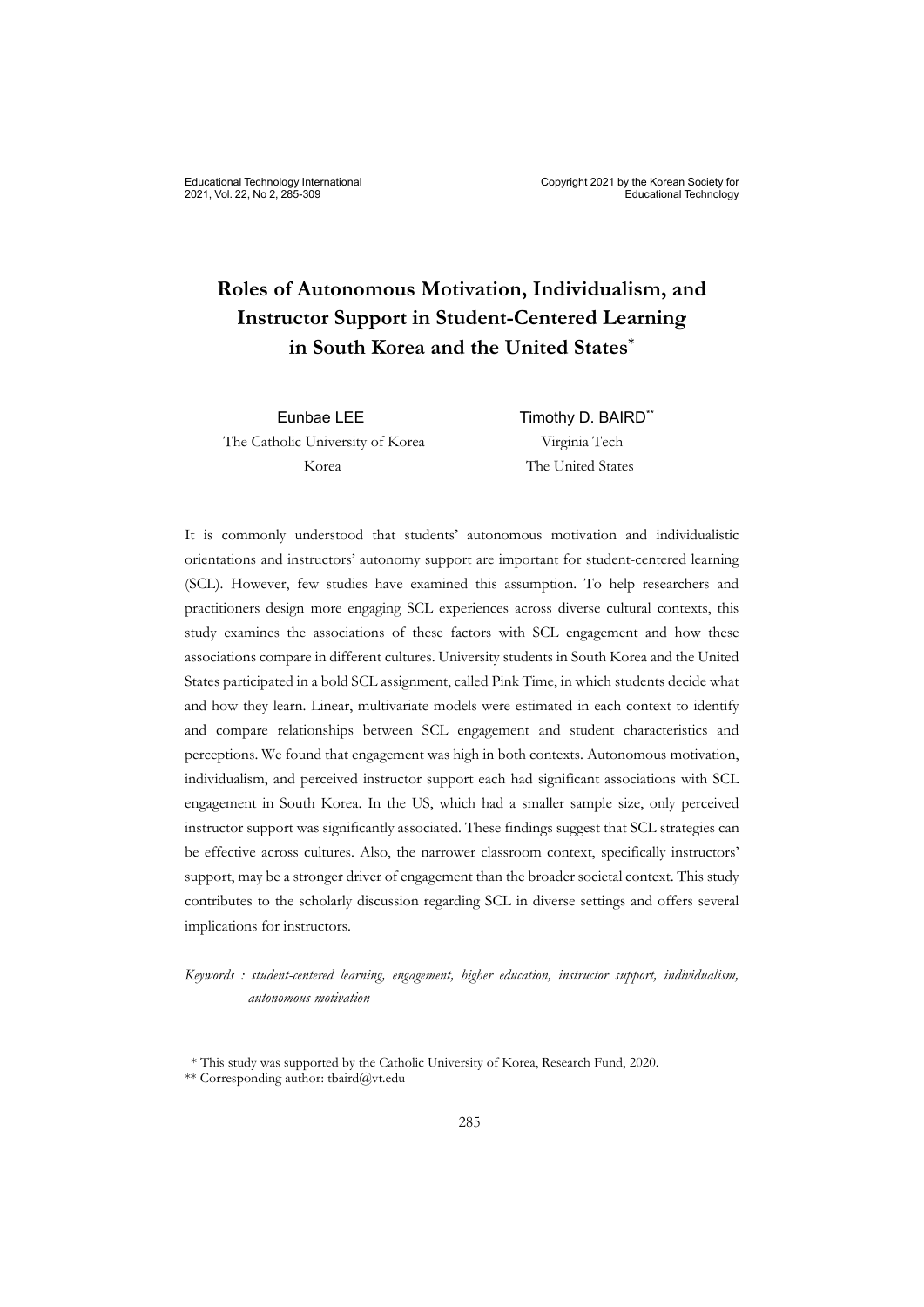The Catholic University of Korea Virginia Tech Korea The United States

Eunbae LEE Timothy D. BAIRD\*\*

It is commonly understood that students' autonomous motivation and individualistic orientations and instructors' autonomy support are important for student-centered learning (SCL). However, few studies have examined this assumption. To help researchers and practitioners design more engaging SCL experiences across diverse cultural contexts, this study examines the associations of these factors with SCL engagement and how these associations compare in different cultures. University students in South Korea and the United States participated in a bold SCL assignment, called Pink Time, in which students decide what and how they learn. Linear, multivariate models were estimated in each context to identify and compare relationships between SCL engagement and student characteristics and perceptions. We found that engagement was high in both contexts. Autonomous motivation, individualism, and perceived instructor support each had significant associations with SCL engagement in South Korea. In the US, which had a smaller sample size, only perceived instructor support was significantly associated. These findings suggest that SCL strategies can be effective across cultures. Also, the narrower classroom context, specifically instructors' support, may be a stronger driver of engagement than the broader societal context. This study contributes to the scholarly discussion regarding SCL in diverse settings and offers several implications for instructors.

*Keywords : student-centered learning, engagement, higher education, instructor support, individualism, autonomous motivation* 

<sup>\*</sup> This study was supported by the Catholic University of Korea, Research Fund, 2020.

<sup>\*\*</sup> Corresponding author: tbaird@vt.edu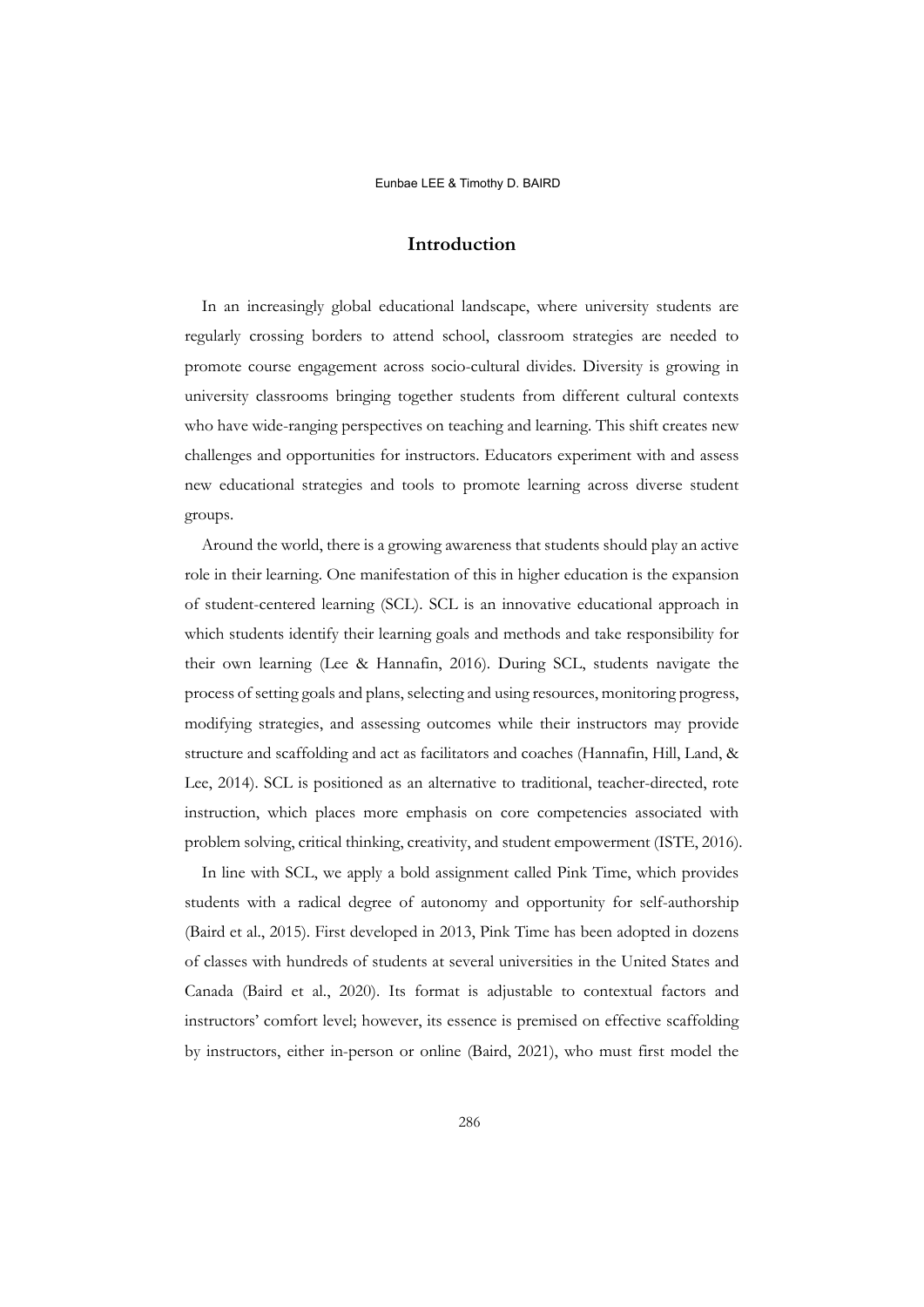# **Introduction**

In an increasingly global educational landscape, where university students are regularly crossing borders to attend school, classroom strategies are needed to promote course engagement across socio-cultural divides. Diversity is growing in university classrooms bringing together students from different cultural contexts who have wide-ranging perspectives on teaching and learning. This shift creates new challenges and opportunities for instructors. Educators experiment with and assess new educational strategies and tools to promote learning across diverse student groups.

Around the world, there is a growing awareness that students should play an active role in their learning. One manifestation of this in higher education is the expansion of student-centered learning (SCL). SCL is an innovative educational approach in which students identify their learning goals and methods and take responsibility for their own learning (Lee & Hannafin, 2016). During SCL, students navigate the process of setting goals and plans, selecting and using resources, monitoring progress, modifying strategies, and assessing outcomes while their instructors may provide structure and scaffolding and act as facilitators and coaches (Hannafin, Hill, Land, & Lee, 2014). SCL is positioned as an alternative to traditional, teacher-directed, rote instruction, which places more emphasis on core competencies associated with problem solving, critical thinking, creativity, and student empowerment (ISTE, 2016).

In line with SCL, we apply a bold assignment called Pink Time, which provides students with a radical degree of autonomy and opportunity for self-authorship (Baird et al., 2015). First developed in 2013, Pink Time has been adopted in dozens of classes with hundreds of students at several universities in the United States and Canada (Baird et al., 2020). Its format is adjustable to contextual factors and instructors' comfort level; however, its essence is premised on effective scaffolding by instructors, either in-person or online (Baird, 2021), who must first model the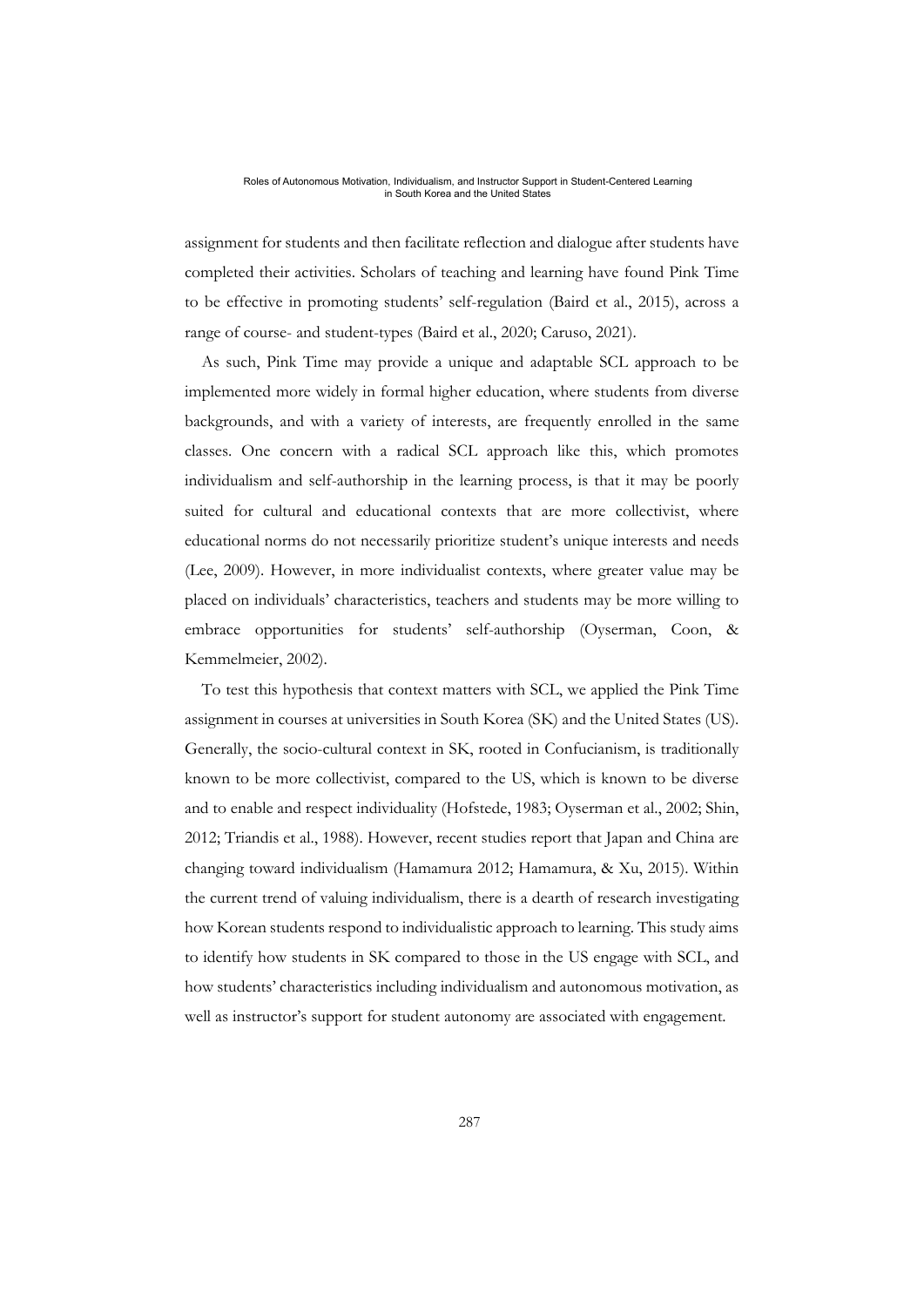assignment for students and then facilitate reflection and dialogue after students have completed their activities. Scholars of teaching and learning have found Pink Time to be effective in promoting students' self-regulation (Baird et al., 2015), across a range of course- and student-types (Baird et al., 2020; Caruso, 2021).

As such, Pink Time may provide a unique and adaptable SCL approach to be implemented more widely in formal higher education, where students from diverse backgrounds, and with a variety of interests, are frequently enrolled in the same classes. One concern with a radical SCL approach like this, which promotes individualism and self-authorship in the learning process, is that it may be poorly suited for cultural and educational contexts that are more collectivist, where educational norms do not necessarily prioritize student's unique interests and needs (Lee, 2009). However, in more individualist contexts, where greater value may be placed on individuals' characteristics, teachers and students may be more willing to embrace opportunities for students' self-authorship (Oyserman, Coon, & Kemmelmeier, 2002).

To test this hypothesis that context matters with SCL, we applied the Pink Time assignment in courses at universities in South Korea (SK) and the United States (US). Generally, the socio-cultural context in SK, rooted in Confucianism, is traditionally known to be more collectivist, compared to the US, which is known to be diverse and to enable and respect individuality (Hofstede, 1983; Oyserman et al., 2002; Shin, 2012; Triandis et al., 1988). However, recent studies report that Japan and China are changing toward individualism (Hamamura 2012; Hamamura, & Xu, 2015). Within the current trend of valuing individualism, there is a dearth of research investigating how Korean students respond to individualistic approach to learning. This study aims to identify how students in SK compared to those in the US engage with SCL, and how students' characteristics including individualism and autonomous motivation, as well as instructor's support for student autonomy are associated with engagement.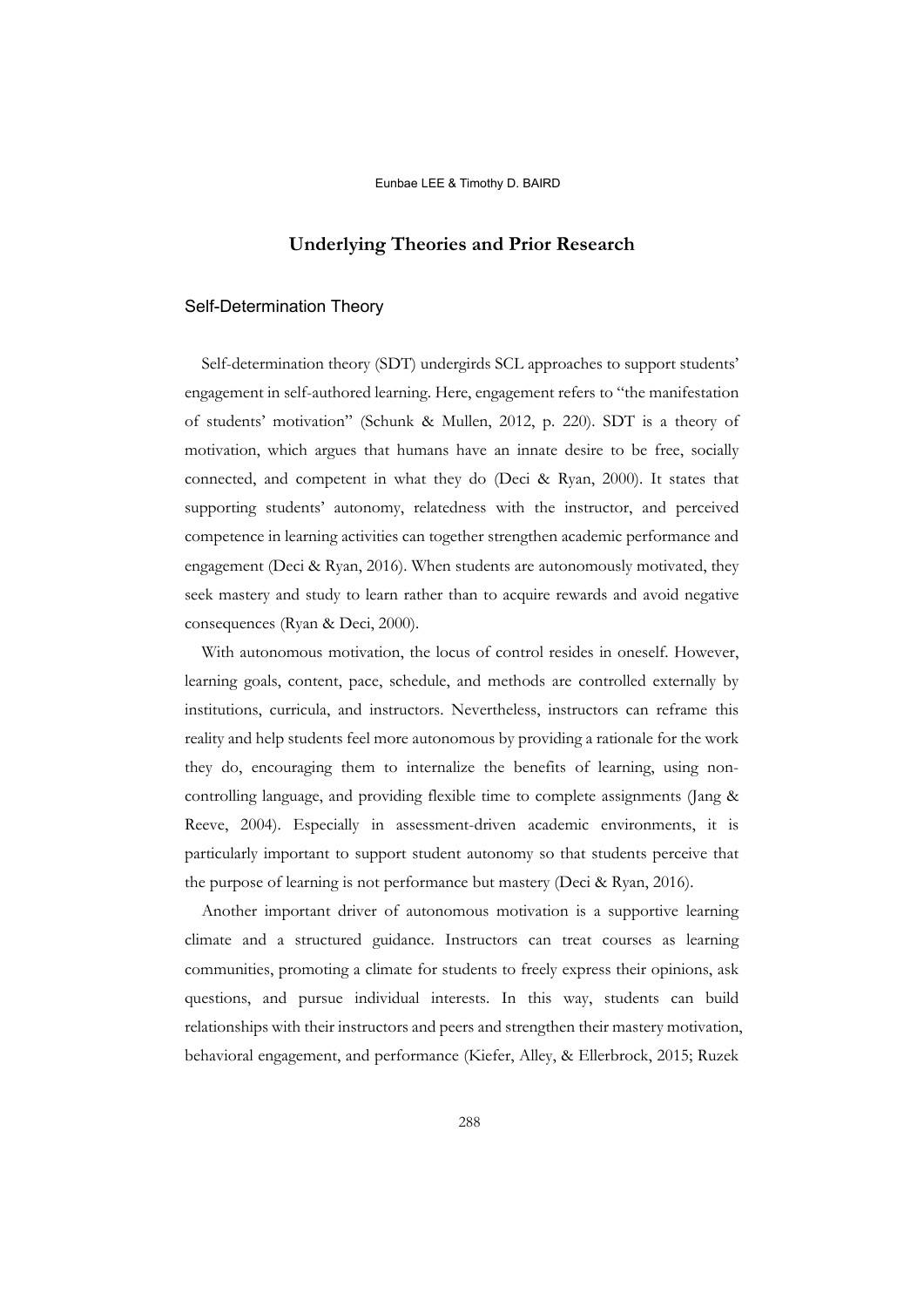# **Underlying Theories and Prior Research**

## Self-Determination Theory

Self-determination theory (SDT) undergirds SCL approaches to support students' engagement in self-authored learning. Here, engagement refers to "the manifestation of students' motivation" (Schunk & Mullen, 2012, p. 220). SDT is a theory of motivation, which argues that humans have an innate desire to be free, socially connected, and competent in what they do (Deci & Ryan, 2000). It states that supporting students' autonomy, relatedness with the instructor, and perceived competence in learning activities can together strengthen academic performance and engagement (Deci & Ryan, 2016). When students are autonomously motivated, they seek mastery and study to learn rather than to acquire rewards and avoid negative consequences (Ryan & Deci, 2000).

With autonomous motivation, the locus of control resides in oneself. However, learning goals, content, pace, schedule, and methods are controlled externally by institutions, curricula, and instructors. Nevertheless, instructors can reframe this reality and help students feel more autonomous by providing a rationale for the work they do, encouraging them to internalize the benefits of learning, using noncontrolling language, and providing flexible time to complete assignments (Jang & Reeve, 2004). Especially in assessment-driven academic environments, it is particularly important to support student autonomy so that students perceive that the purpose of learning is not performance but mastery (Deci & Ryan, 2016).

Another important driver of autonomous motivation is a supportive learning climate and a structured guidance. Instructors can treat courses as learning communities, promoting a climate for students to freely express their opinions, ask questions, and pursue individual interests. In this way, students can build relationships with their instructors and peers and strengthen their mastery motivation, behavioral engagement, and performance (Kiefer, Alley, & Ellerbrock, 2015; Ruzek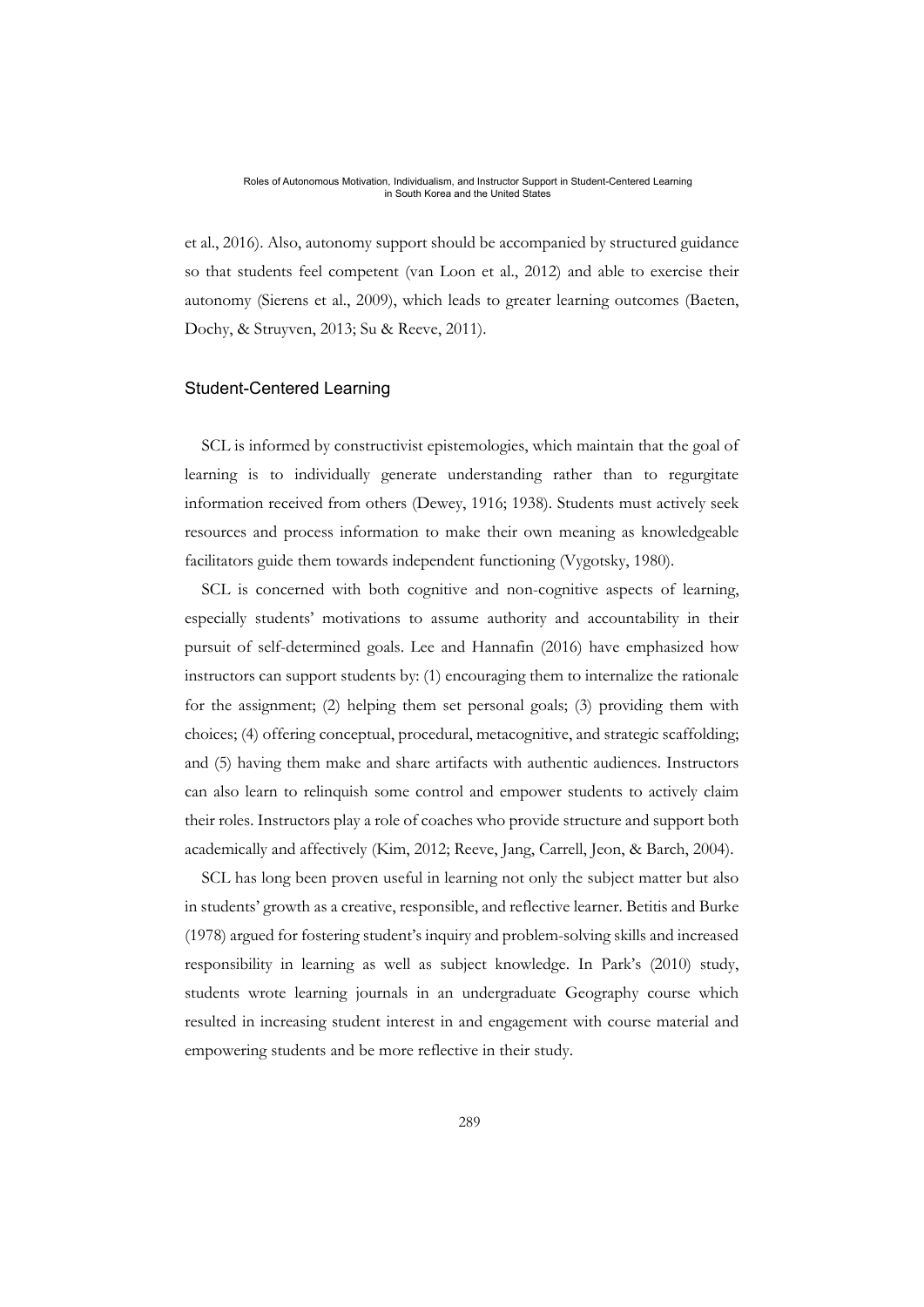et al., 2016). Also, autonomy support should be accompanied by structured guidance so that students feel competent (van Loon et al., 2012) and able to exercise their autonomy (Sierens et al., 2009), which leads to greater learning outcomes (Baeten, Dochy, & Struyven, 2013; Su & Reeve, 2011).

## Student-Centered Learning

SCL is informed by constructivist epistemologies, which maintain that the goal of learning is to individually generate understanding rather than to regurgitate information received from others (Dewey, 1916; 1938). Students must actively seek resources and process information to make their own meaning as knowledgeable facilitators guide them towards independent functioning (Vygotsky, 1980).

SCL is concerned with both cognitive and non-cognitive aspects of learning, especially students' motivations to assume authority and accountability in their pursuit of self-determined goals. Lee and Hannafin (2016) have emphasized how instructors can support students by: (1) encouraging them to internalize the rationale for the assignment; (2) helping them set personal goals; (3) providing them with choices; (4) offering conceptual, procedural, metacognitive, and strategic scaffolding; and (5) having them make and share artifacts with authentic audiences. Instructors can also learn to relinquish some control and empower students to actively claim their roles. Instructors play a role of coaches who provide structure and support both academically and affectively (Kim, 2012; Reeve, Jang, Carrell, Jeon, & Barch, 2004).

SCL has long been proven useful in learning not only the subject matter but also in students' growth as a creative, responsible, and reflective learner. Betitis and Burke (1978) argued for fostering student's inquiry and problem-solving skills and increased responsibility in learning as well as subject knowledge. In Park's (2010) study, students wrote learning journals in an undergraduate Geography course which resulted in increasing student interest in and engagement with course material and empowering students and be more reflective in their study.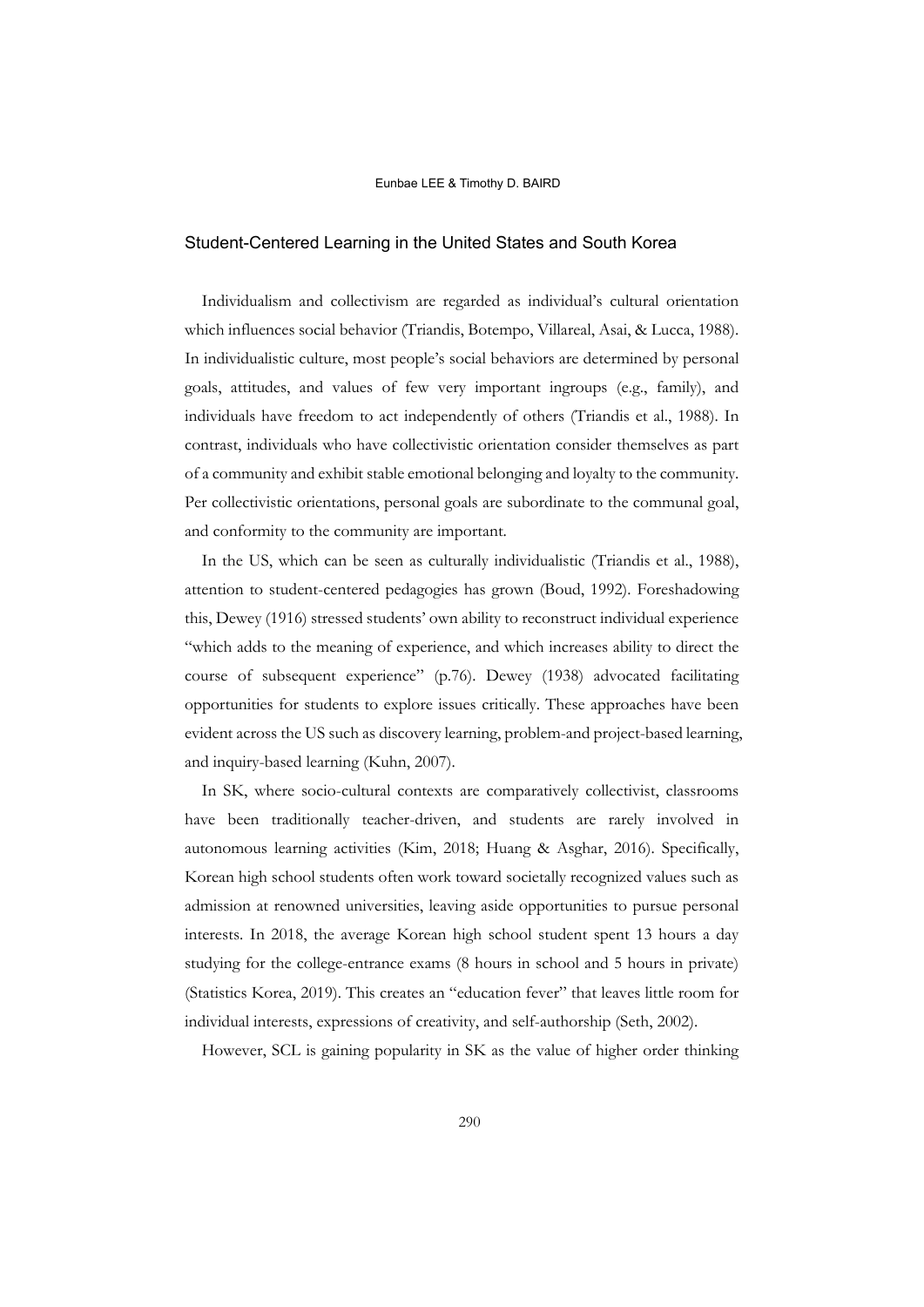## Student-Centered Learning in the United States and South Korea

Individualism and collectivism are regarded as individual's cultural orientation which influences social behavior (Triandis, Botempo, Villareal, Asai, & Lucca, 1988). In individualistic culture, most people's social behaviors are determined by personal goals, attitudes, and values of few very important ingroups (e.g., family), and individuals have freedom to act independently of others (Triandis et al., 1988). In contrast, individuals who have collectivistic orientation consider themselves as part of a community and exhibit stable emotional belonging and loyalty to the community. Per collectivistic orientations, personal goals are subordinate to the communal goal, and conformity to the community are important.

In the US, which can be seen as culturally individualistic (Triandis et al., 1988), attention to student-centered pedagogies has grown (Boud, 1992). Foreshadowing this, Dewey (1916) stressed students' own ability to reconstruct individual experience "which adds to the meaning of experience, and which increases ability to direct the course of subsequent experience" (p.76). Dewey (1938) advocated facilitating opportunities for students to explore issues critically. These approaches have been evident across the US such as discovery learning, problem-and project-based learning, and inquiry-based learning (Kuhn, 2007).

In SK, where socio-cultural contexts are comparatively collectivist, classrooms have been traditionally teacher-driven, and students are rarely involved in autonomous learning activities (Kim, 2018; Huang & Asghar, 2016). Specifically, Korean high school students often work toward societally recognized values such as admission at renowned universities, leaving aside opportunities to pursue personal interests. In 2018, the average Korean high school student spent 13 hours a day studying for the college-entrance exams (8 hours in school and 5 hours in private) (Statistics Korea, 2019). This creates an "education fever" that leaves little room for individual interests, expressions of creativity, and self-authorship (Seth, 2002).

However, SCL is gaining popularity in SK as the value of higher order thinking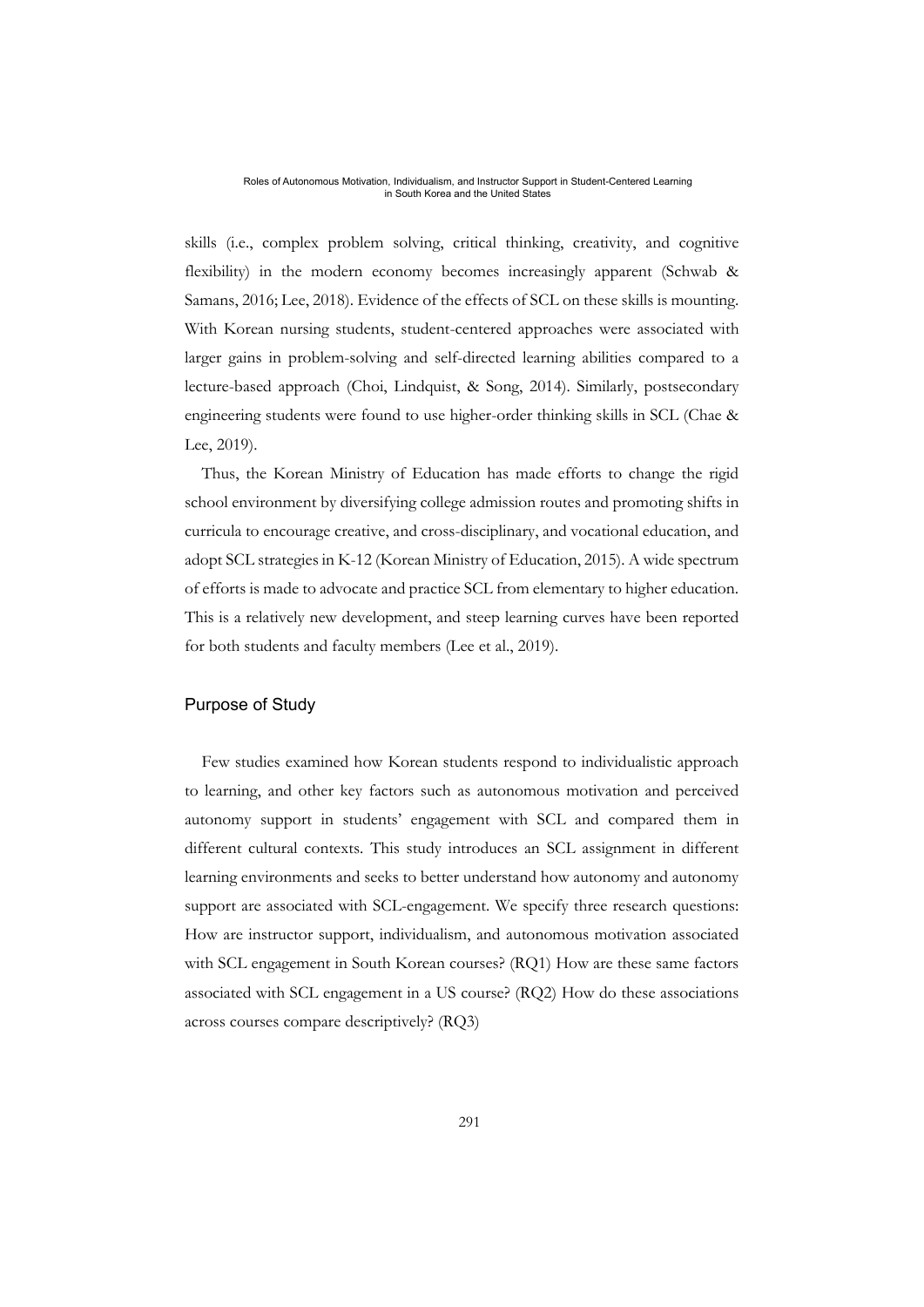skills (i.e., complex problem solving, critical thinking, creativity, and cognitive flexibility) in the modern economy becomes increasingly apparent (Schwab & Samans, 2016; Lee, 2018). Evidence of the effects of SCL on these skills is mounting. With Korean nursing students, student-centered approaches were associated with larger gains in problem-solving and self-directed learning abilities compared to a lecture-based approach (Choi, Lindquist, & Song, 2014). Similarly, postsecondary engineering students were found to use higher-order thinking skills in SCL (Chae & Lee, 2019).

Thus, the Korean Ministry of Education has made efforts to change the rigid school environment by diversifying college admission routes and promoting shifts in curricula to encourage creative, and cross-disciplinary, and vocational education, and adopt SCL strategies in K-12 (Korean Ministry of Education, 2015). A wide spectrum of efforts is made to advocate and practice SCL from elementary to higher education. This is a relatively new development, and steep learning curves have been reported for both students and faculty members (Lee et al., 2019).

# Purpose of Study

Few studies examined how Korean students respond to individualistic approach to learning, and other key factors such as autonomous motivation and perceived autonomy support in students' engagement with SCL and compared them in different cultural contexts. This study introduces an SCL assignment in different learning environments and seeks to better understand how autonomy and autonomy support are associated with SCL-engagement. We specify three research questions: How are instructor support, individualism, and autonomous motivation associated with SCL engagement in South Korean courses? (RQ1) How are these same factors associated with SCL engagement in a US course? (RQ2) How do these associations across courses compare descriptively? (RQ3)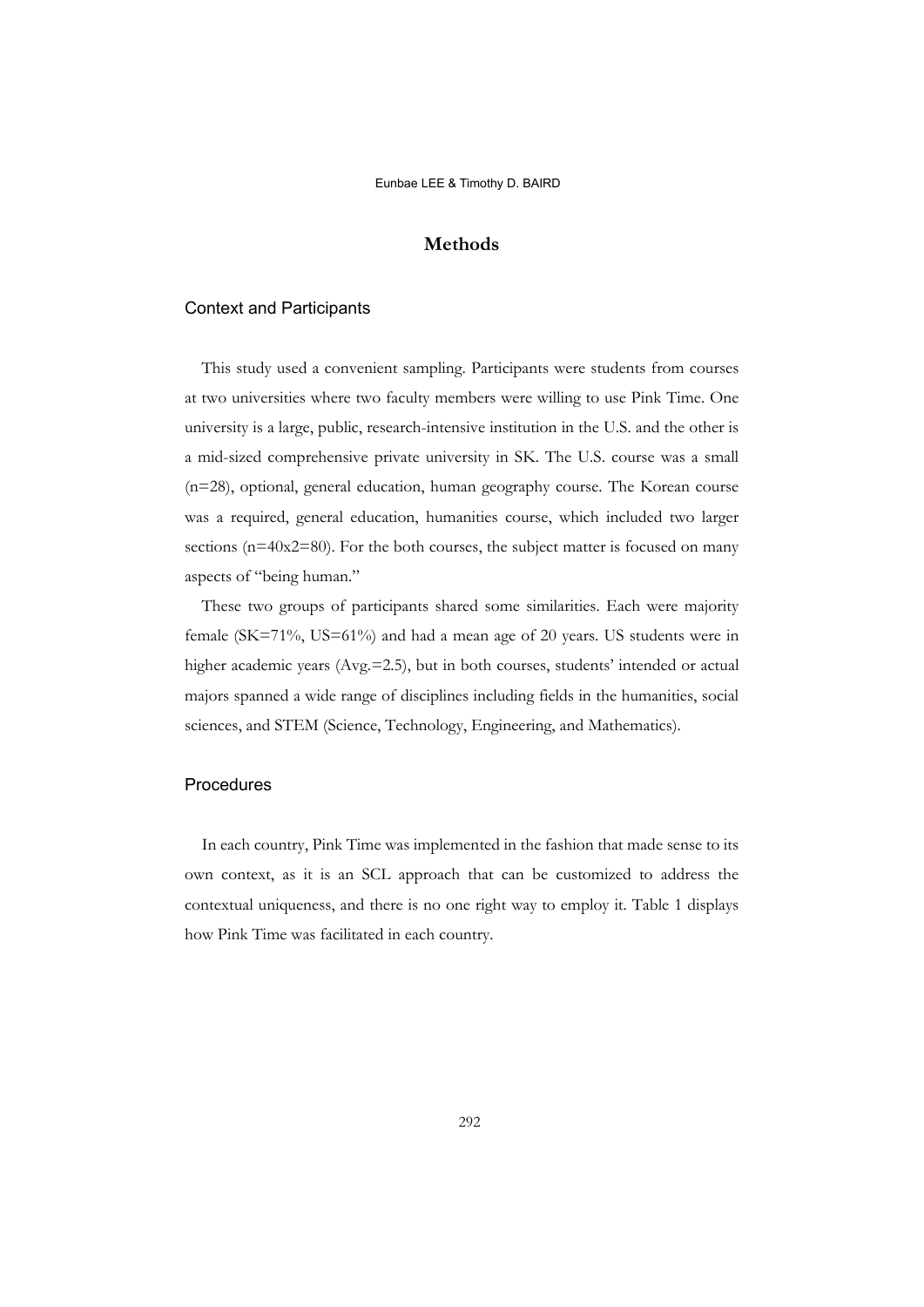# **Methods**

## Context and Participants

This study used a convenient sampling. Participants were students from courses at two universities where two faculty members were willing to use Pink Time. One university is a large, public, research-intensive institution in the U.S. and the other is a mid-sized comprehensive private university in SK. The U.S. course was a small (n=28), optional, general education, human geography course. The Korean course was a required, general education, humanities course, which included two larger sections (n=40x2=80). For the both courses, the subject matter is focused on many aspects of "being human."

These two groups of participants shared some similarities. Each were majority female (SK=71%, US=61%) and had a mean age of 20 years. US students were in higher academic years (Avg.=2.5), but in both courses, students' intended or actual majors spanned a wide range of disciplines including fields in the humanities, social sciences, and STEM (Science, Technology, Engineering, and Mathematics).

# Procedures

In each country, Pink Time was implemented in the fashion that made sense to its own context, as it is an SCL approach that can be customized to address the contextual uniqueness, and there is no one right way to employ it. Table 1 displays how Pink Time was facilitated in each country.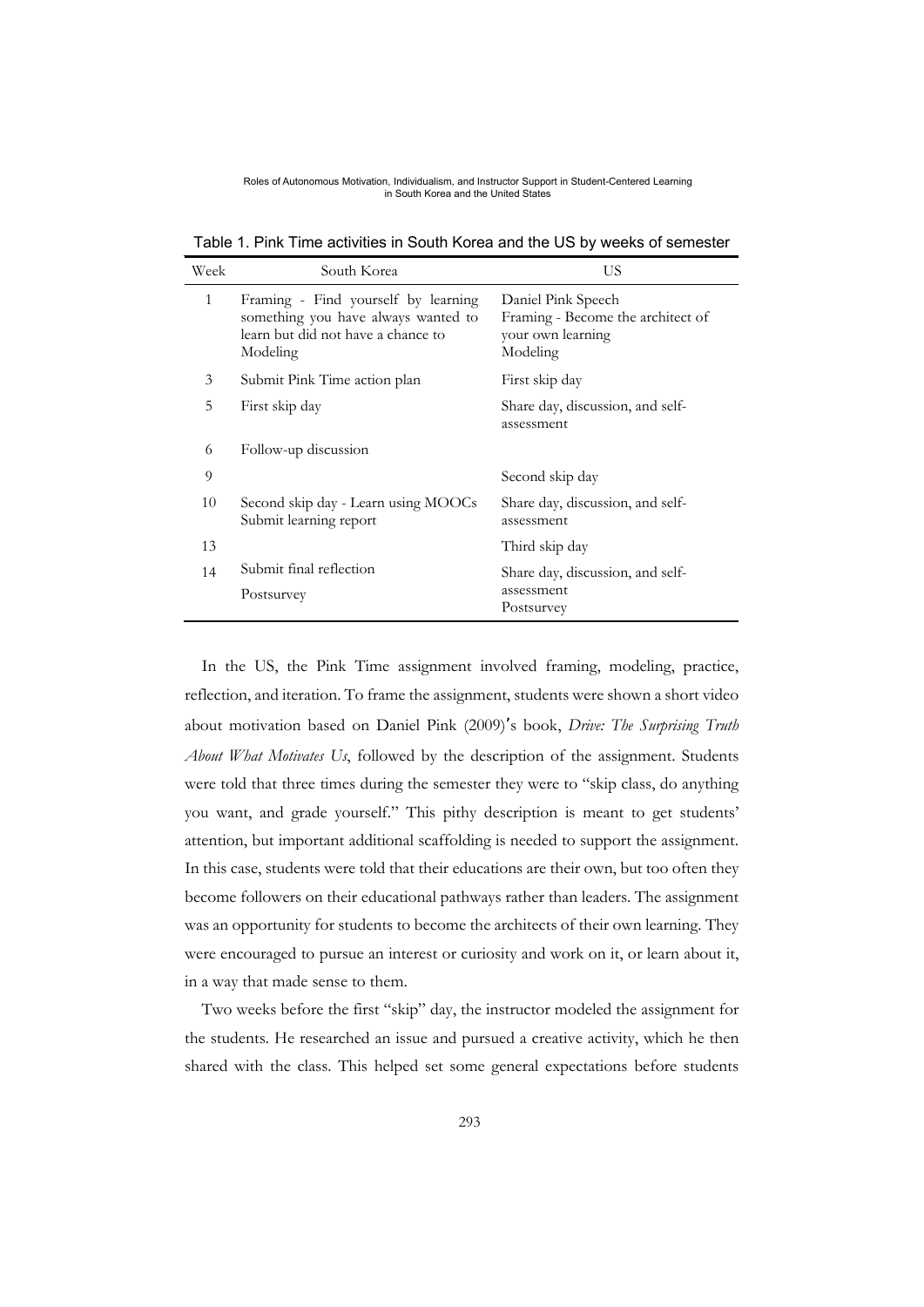Table 1. Pink Time activities in South Korea and the US by weeks of semester

| Week | South Korea                                                                                                                  | US                                                                                       |  |  |
|------|------------------------------------------------------------------------------------------------------------------------------|------------------------------------------------------------------------------------------|--|--|
| 1    | Framing - Find yourself by learning<br>something you have always wanted to<br>learn but did not have a chance to<br>Modeling | Daniel Pink Speech<br>Framing - Become the architect of<br>your own learning<br>Modeling |  |  |
| 3    | Submit Pink Time action plan                                                                                                 | First skip day                                                                           |  |  |
| 5    | First skip day                                                                                                               | Share day, discussion, and self-<br>assessment                                           |  |  |
| 6    | Follow-up discussion                                                                                                         |                                                                                          |  |  |
| 9    |                                                                                                                              | Second skip day                                                                          |  |  |
| 10   | Second skip day - Learn using MOOCs<br>Submit learning report                                                                | Share day, discussion, and self-<br>assessment                                           |  |  |
| 13   |                                                                                                                              | Third skip day                                                                           |  |  |
| 14   | Submit final reflection<br>Postsurvey                                                                                        | Share day, discussion, and self-<br>assessment<br>Postsurvey                             |  |  |

In the US, the Pink Time assignment involved framing, modeling, practice, reflection, and iteration. To frame the assignment, students were shown a short video about motivation based on Daniel Pink (2009)'s book, *Drive: The Surprising Truth About What Motivates Us*, followed by the description of the assignment. Students were told that three times during the semester they were to "skip class, do anything you want, and grade yourself." This pithy description is meant to get students' attention, but important additional scaffolding is needed to support the assignment. In this case, students were told that their educations are their own, but too often they become followers on their educational pathways rather than leaders. The assignment was an opportunity for students to become the architects of their own learning. They were encouraged to pursue an interest or curiosity and work on it, or learn about it, in a way that made sense to them.

Two weeks before the first "skip" day, the instructor modeled the assignment for the students. He researched an issue and pursued a creative activity, which he then shared with the class. This helped set some general expectations before students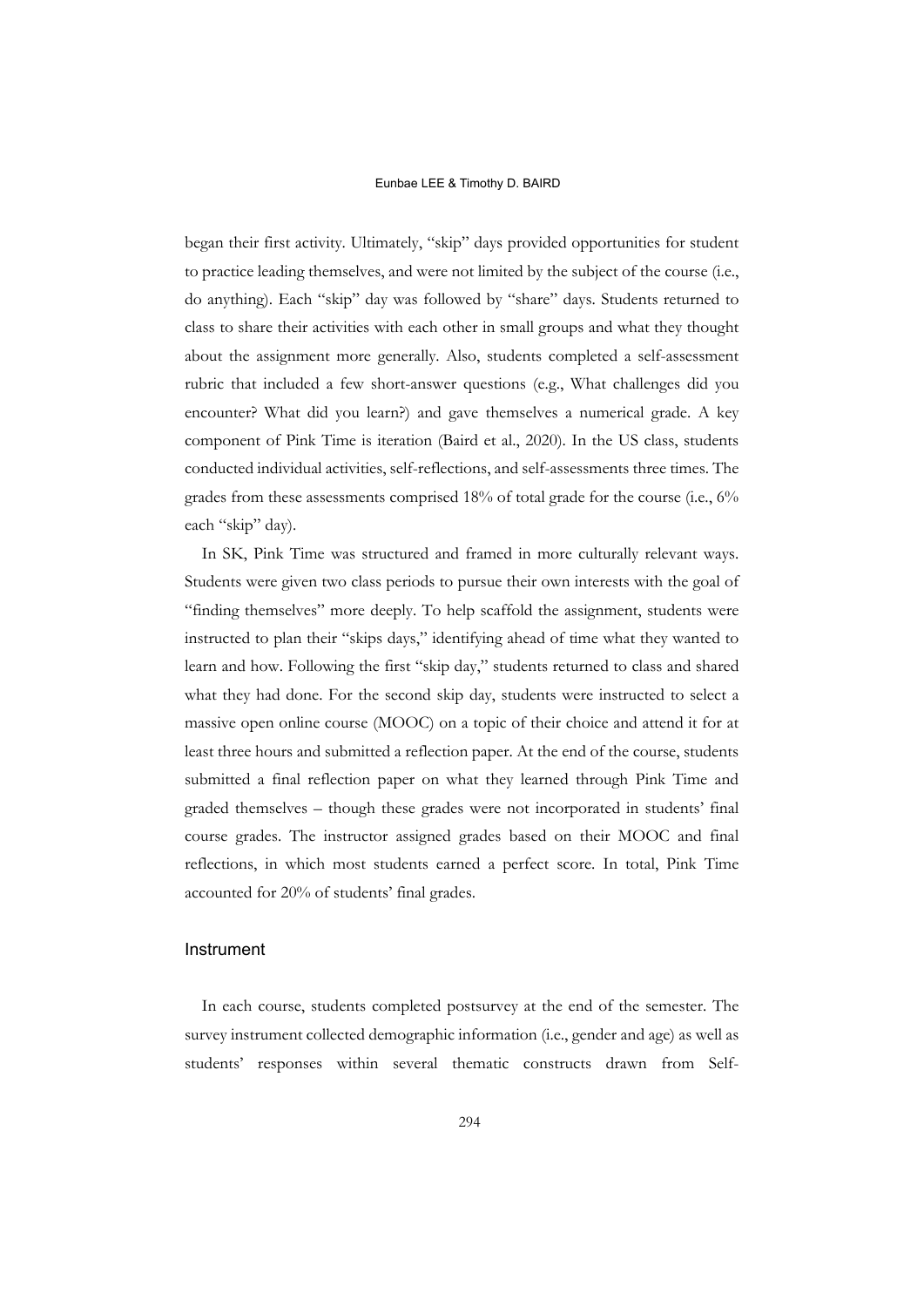began their first activity. Ultimately, "skip" days provided opportunities for student to practice leading themselves, and were not limited by the subject of the course (i.e., do anything). Each "skip" day was followed by "share" days. Students returned to class to share their activities with each other in small groups and what they thought about the assignment more generally. Also, students completed a self-assessment rubric that included a few short-answer questions (e.g., What challenges did you encounter? What did you learn?) and gave themselves a numerical grade. A key component of Pink Time is iteration (Baird et al., 2020). In the US class, students conducted individual activities, self-reflections, and self-assessments three times. The grades from these assessments comprised 18% of total grade for the course (i.e., 6% each "skip" day).

In SK, Pink Time was structured and framed in more culturally relevant ways. Students were given two class periods to pursue their own interests with the goal of "finding themselves" more deeply. To help scaffold the assignment, students were instructed to plan their "skips days," identifying ahead of time what they wanted to learn and how. Following the first "skip day," students returned to class and shared what they had done. For the second skip day, students were instructed to select a massive open online course (MOOC) on a topic of their choice and attend it for at least three hours and submitted a reflection paper. At the end of the course, students submitted a final reflection paper on what they learned through Pink Time and graded themselves – though these grades were not incorporated in students' final course grades. The instructor assigned grades based on their MOOC and final reflections, in which most students earned a perfect score. In total, Pink Time accounted for 20% of students' final grades.

# Instrument

In each course, students completed postsurvey at the end of the semester. The survey instrument collected demographic information (i.e., gender and age) as well as students' responses within several thematic constructs drawn from Self-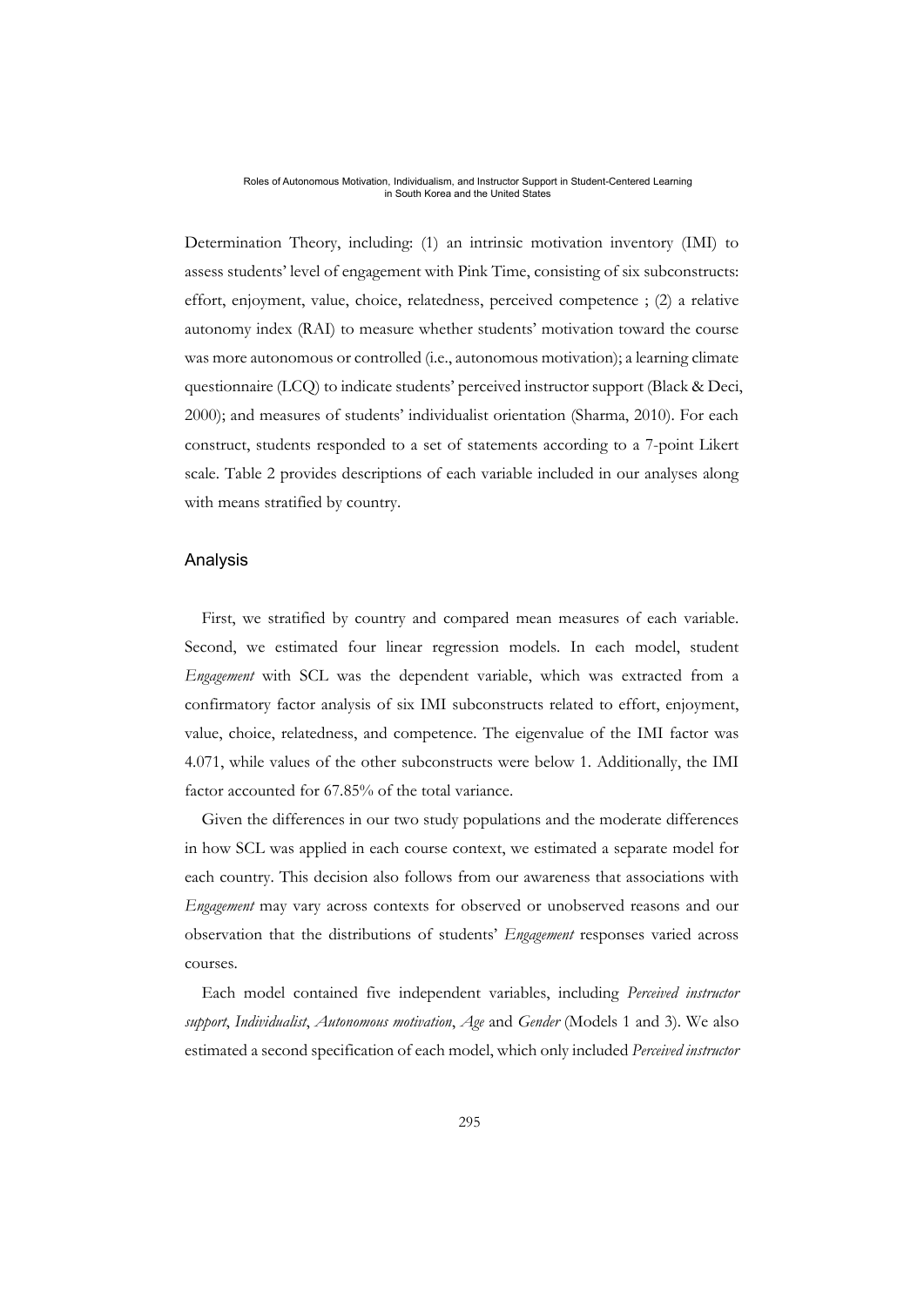Determination Theory, including: (1) an intrinsic motivation inventory (IMI) to assess students' level of engagement with Pink Time, consisting of six subconstructs: effort, enjoyment, value, choice, relatedness, perceived competence ; (2) a relative autonomy index (RAI) to measure whether students' motivation toward the course was more autonomous or controlled (i.e., autonomous motivation); a learning climate questionnaire (LCQ) to indicate students' perceived instructor support (Black & Deci, 2000); and measures of students' individualist orientation (Sharma, 2010). For each construct, students responded to a set of statements according to a 7-point Likert scale. Table 2 provides descriptions of each variable included in our analyses along with means stratified by country.

## Analysis

First, we stratified by country and compared mean measures of each variable. Second, we estimated four linear regression models. In each model, student *Engagement* with SCL was the dependent variable, which was extracted from a confirmatory factor analysis of six IMI subconstructs related to effort, enjoyment, value, choice, relatedness, and competence. The eigenvalue of the IMI factor was 4.071, while values of the other subconstructs were below 1. Additionally, the IMI factor accounted for 67.85% of the total variance.

Given the differences in our two study populations and the moderate differences in how SCL was applied in each course context, we estimated a separate model for each country. This decision also follows from our awareness that associations with *Engagement* may vary across contexts for observed or unobserved reasons and our observation that the distributions of students' *Engagement* responses varied across courses.

Each model contained five independent variables, including *Perceived instructor support*, *Individualist*, *Autonomous motivation*, *Age* and *Gender* (Models 1 and 3). We also estimated a second specification of each model, which only included *Perceived instructor*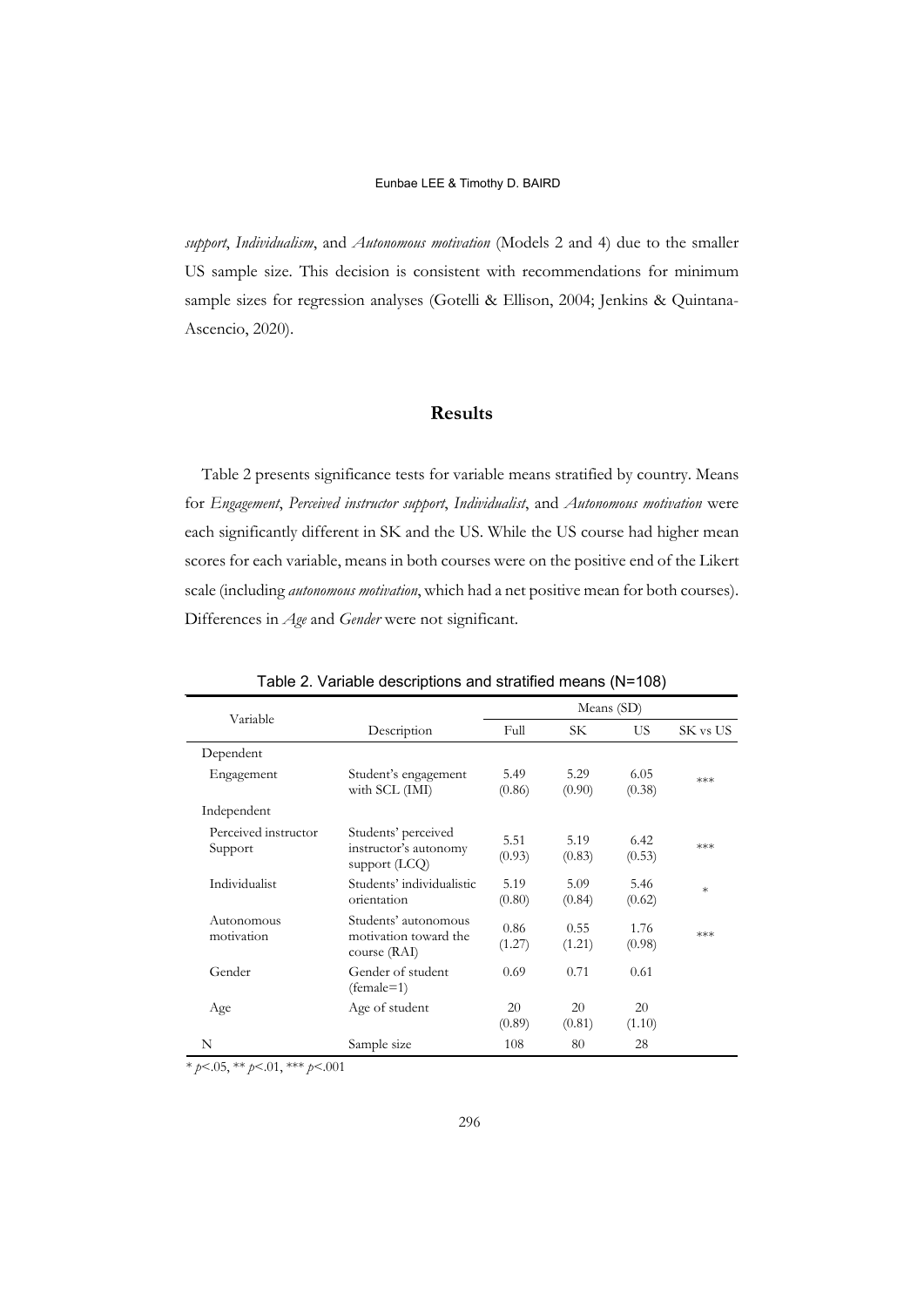*support*, *Individualism*, and *Autonomous motivation* (Models 2 and 4) due to the smaller US sample size. This decision is consistent with recommendations for minimum sample sizes for regression analyses (Gotelli & Ellison, 2004; Jenkins & Quintana-Ascencio, 2020).

# **Results**

Table 2 presents significance tests for variable means stratified by country. Means for *Engagement*, *Perceived instructor support*, *Individualist*, and *Autonomous motivation* were each significantly different in SK and the US. While the US course had higher mean scores for each variable, means in both courses were on the positive end of the Likert scale (including *autonomous motivation*, which had a net positive mean for both courses). Differences in *Age* and *Gender* were not significant.

| Variable                        |                                                                 | Means (SD)     |                |                |          |  |
|---------------------------------|-----------------------------------------------------------------|----------------|----------------|----------------|----------|--|
|                                 | Description                                                     | Full           | SК             | US.            | SK vs US |  |
| Dependent                       |                                                                 |                |                |                |          |  |
| Engagement                      | Student's engagement<br>with SCL (IMI)                          | 5.49<br>(0.86) | 5.29<br>(0.90) | 6.05<br>(0.38) | ***      |  |
| Independent                     |                                                                 |                |                |                |          |  |
| Perceived instructor<br>Support | Students' perceived<br>instructor's autonomy<br>support $(LCQ)$ | 5.51<br>(0.93) | 5.19<br>(0.83) | 6.42<br>(0.53) | ***      |  |
| Individualist                   | Students' individualistic<br>orientation                        | 5.19<br>(0.80) | 5.09<br>(0.84) | 5.46<br>(0.62) | $\ast$   |  |
| Autonomous<br>motivation        | Students' autonomous<br>motivation toward the<br>course (RAI)   | 0.86<br>(1.27) | 0.55<br>(1.21) | 1.76<br>(0.98) | ***      |  |
| Gender                          | Gender of student<br>$(female=1)$                               | 0.69           | 0.71           | 0.61           |          |  |
| Age                             | Age of student                                                  | 20<br>(0.89)   | 20<br>(0.81)   | 20<br>(1.10)   |          |  |
| N                               | Sample size                                                     | 108            | 80             | 28             |          |  |

Table 2. Variable descriptions and stratified means (N=108)

\* *p*<.05, \*\* *p*<.01, \*\*\* *p*<.001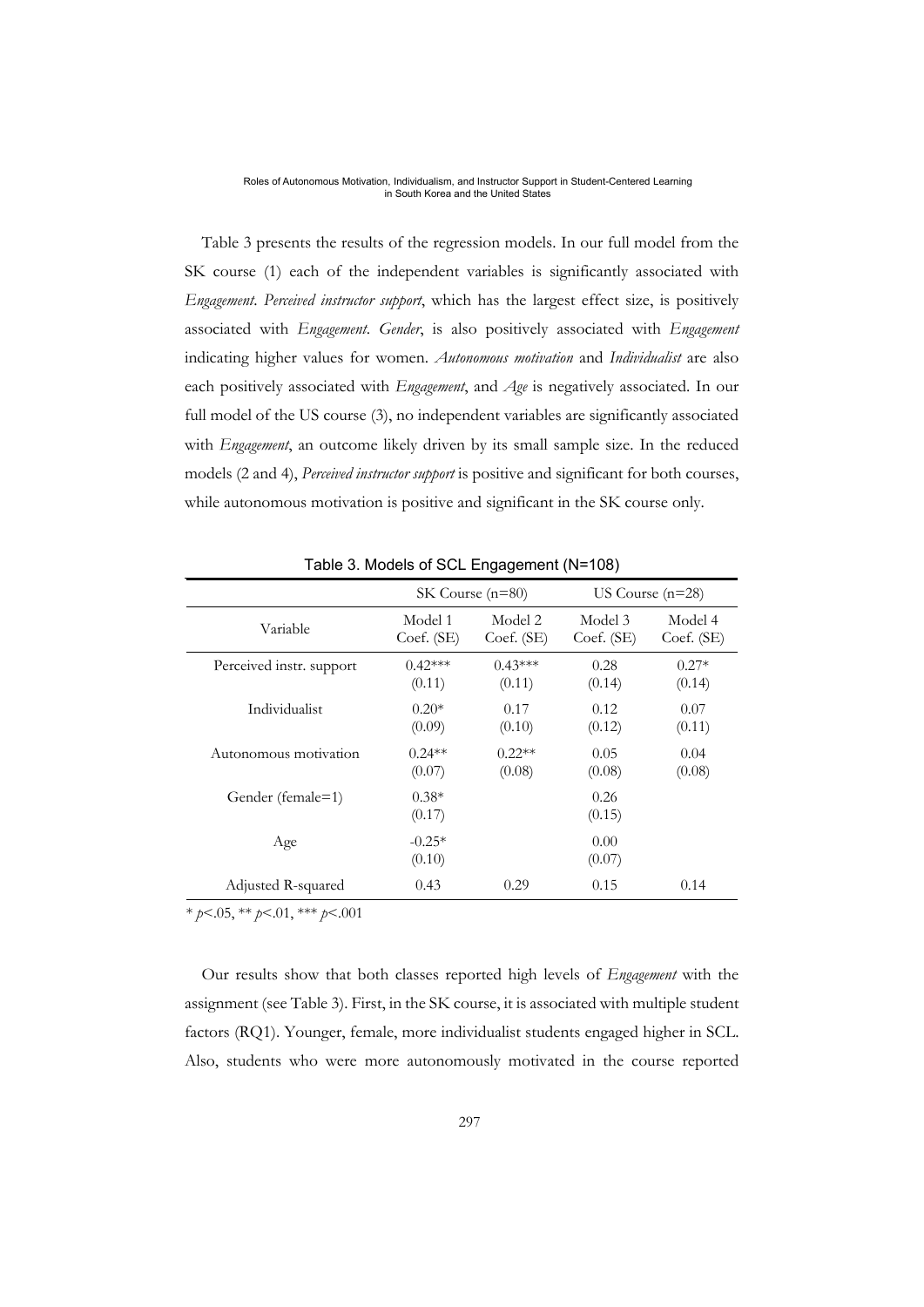Table 3 presents the results of the regression models. In our full model from the SK course (1) each of the independent variables is significantly associated with *Engagement*. *Perceived instructor support*, which has the largest effect size, is positively associated with *Engagement*. *Gender*, is also positively associated with *Engagement* indicating higher values for women. *Autonomous motivation* and *Individualist* are also each positively associated with *Engagement*, and *Age* is negatively associated. In our full model of the US course (3), no independent variables are significantly associated with *Engagement*, an outcome likely driven by its small sample size. In the reduced models (2 and 4), *Perceived instructor support* is positive and significant for both courses, while autonomous motivation is positive and significant in the SK course only.

|                          | $SK Course (n=80)$ |            |                | US Course $(n=28)$ |
|--------------------------|--------------------|------------|----------------|--------------------|
| Variable                 | Model 1            | Model 2    | Model 3        | Model 4            |
|                          | Coef. (SE)         | Coef. (SE) | Coef. (SE)     | $Coef.$ (SE)       |
| Perceived instr. support | $0.42***$          | $0.43***$  | 0.28           | $0.27*$            |
|                          | (0.11)             | (0.11)     | (0.14)         | (0.14)             |
| Individualist            | $0.20*$            | 0.17       | 0.12           | 0.07               |
|                          | (0.09)             | (0.10)     | (0.12)         | (0.11)             |
| Autonomous motivation    | $0.24**$           | $0.22**$   | 0.05           | 0.04               |
|                          | (0.07)             | (0.08)     | (0.08)         | (0.08)             |
| Gender (female=1)        | $0.38*$<br>(0.17)  |            | 0.26<br>(0.15) |                    |
| Age                      | $-0.25*$<br>(0.10) |            | 0.00<br>(0.07) |                    |
| Adjusted R-squared       | 0.43               | 0.29       | 0.15           | 0.14               |

Table 3. Models of SCL Engagement (N=108)

\* *p*<.05, \*\* *p*<.01, \*\*\* *p*<.001

Our results show that both classes reported high levels of *Engagement* with the assignment (see Table 3). First, in the SK course, it is associated with multiple student factors (RQ1). Younger, female, more individualist students engaged higher in SCL. Also, students who were more autonomously motivated in the course reported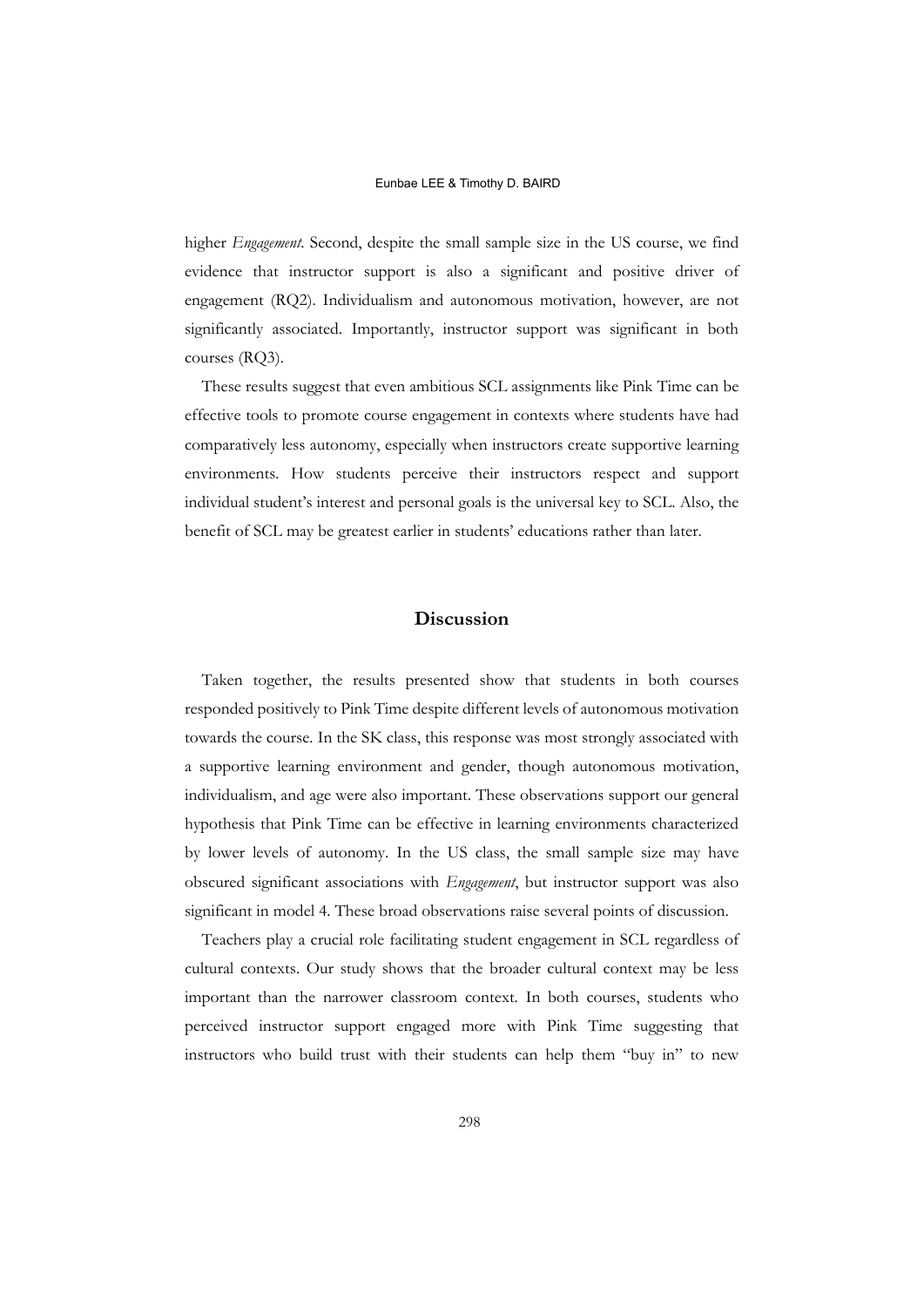higher *Engagement*. Second, despite the small sample size in the US course, we find evidence that instructor support is also a significant and positive driver of engagement (RQ2). Individualism and autonomous motivation, however, are not significantly associated. Importantly, instructor support was significant in both courses (RQ3).

These results suggest that even ambitious SCL assignments like Pink Time can be effective tools to promote course engagement in contexts where students have had comparatively less autonomy, especially when instructors create supportive learning environments. How students perceive their instructors respect and support individual student's interest and personal goals is the universal key to SCL. Also, the benefit of SCL may be greatest earlier in students' educations rather than later.

# **Discussion**

Taken together, the results presented show that students in both courses responded positively to Pink Time despite different levels of autonomous motivation towards the course. In the SK class, this response was most strongly associated with a supportive learning environment and gender, though autonomous motivation, individualism, and age were also important. These observations support our general hypothesis that Pink Time can be effective in learning environments characterized by lower levels of autonomy. In the US class, the small sample size may have obscured significant associations with *Engagement*, but instructor support was also significant in model 4. These broad observations raise several points of discussion.

Teachers play a crucial role facilitating student engagement in SCL regardless of cultural contexts. Our study shows that the broader cultural context may be less important than the narrower classroom context. In both courses, students who perceived instructor support engaged more with Pink Time suggesting that instructors who build trust with their students can help them "buy in" to new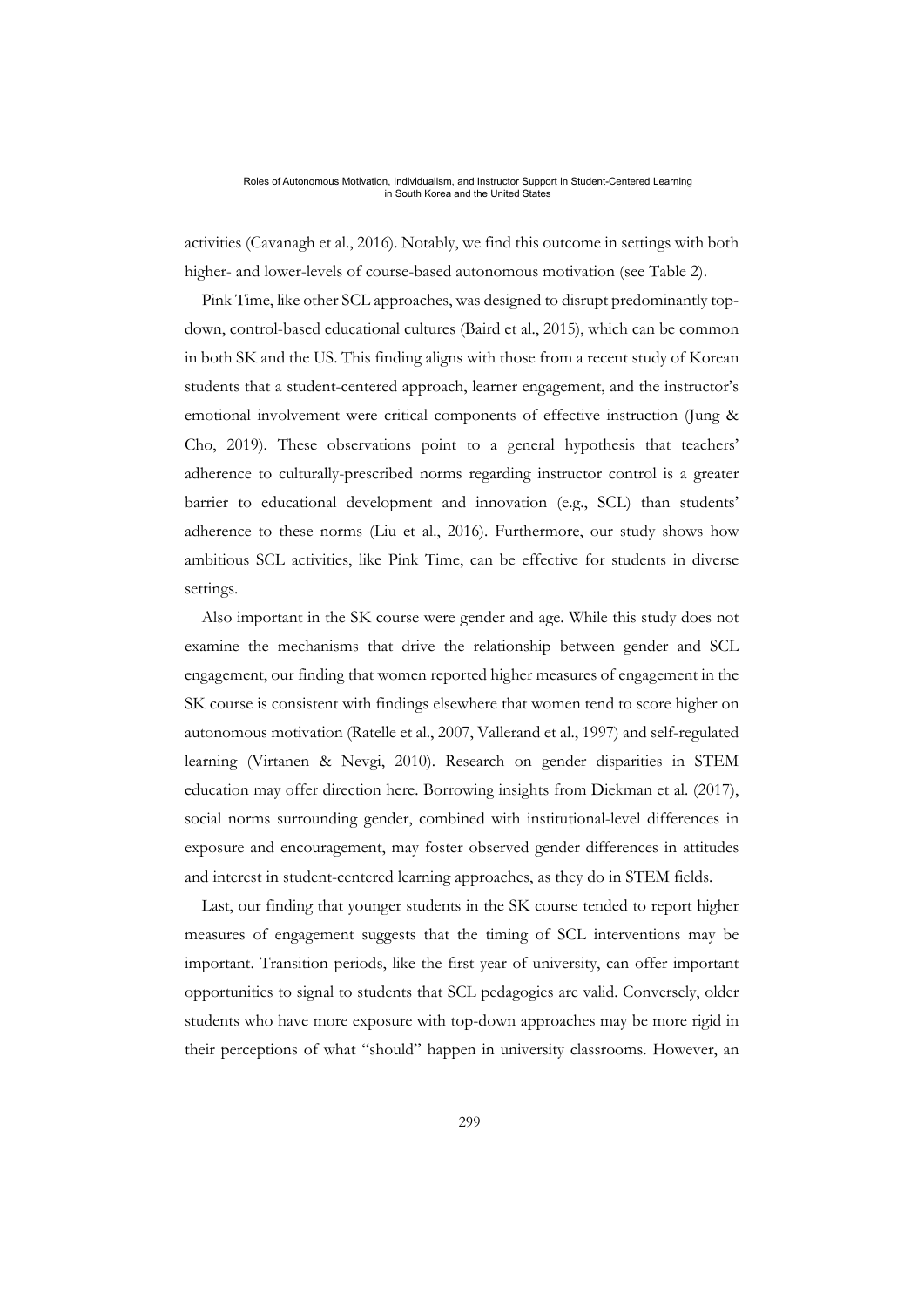activities (Cavanagh et al., 2016). Notably, we find this outcome in settings with both higher- and lower-levels of course-based autonomous motivation (see Table 2).

Pink Time, like other SCL approaches, was designed to disrupt predominantly topdown, control-based educational cultures (Baird et al., 2015), which can be common in both SK and the US. This finding aligns with those from a recent study of Korean students that a student-centered approach, learner engagement, and the instructor's emotional involvement were critical components of effective instruction (Jung & Cho, 2019). These observations point to a general hypothesis that teachers' adherence to culturally-prescribed norms regarding instructor control is a greater barrier to educational development and innovation (e.g., SCL) than students' adherence to these norms (Liu et al., 2016). Furthermore, our study shows how ambitious SCL activities, like Pink Time, can be effective for students in diverse settings.

Also important in the SK course were gender and age. While this study does not examine the mechanisms that drive the relationship between gender and SCL engagement, our finding that women reported higher measures of engagement in the SK course is consistent with findings elsewhere that women tend to score higher on autonomous motivation (Ratelle et al., 2007, Vallerand et al., 1997) and self-regulated learning (Virtanen & Nevgi, 2010). Research on gender disparities in STEM education may offer direction here. Borrowing insights from Diekman et al. (2017), social norms surrounding gender, combined with institutional-level differences in exposure and encouragement, may foster observed gender differences in attitudes and interest in student-centered learning approaches, as they do in STEM fields.

Last, our finding that younger students in the SK course tended to report higher measures of engagement suggests that the timing of SCL interventions may be important. Transition periods, like the first year of university, can offer important opportunities to signal to students that SCL pedagogies are valid. Conversely, older students who have more exposure with top-down approaches may be more rigid in their perceptions of what "should" happen in university classrooms. However, an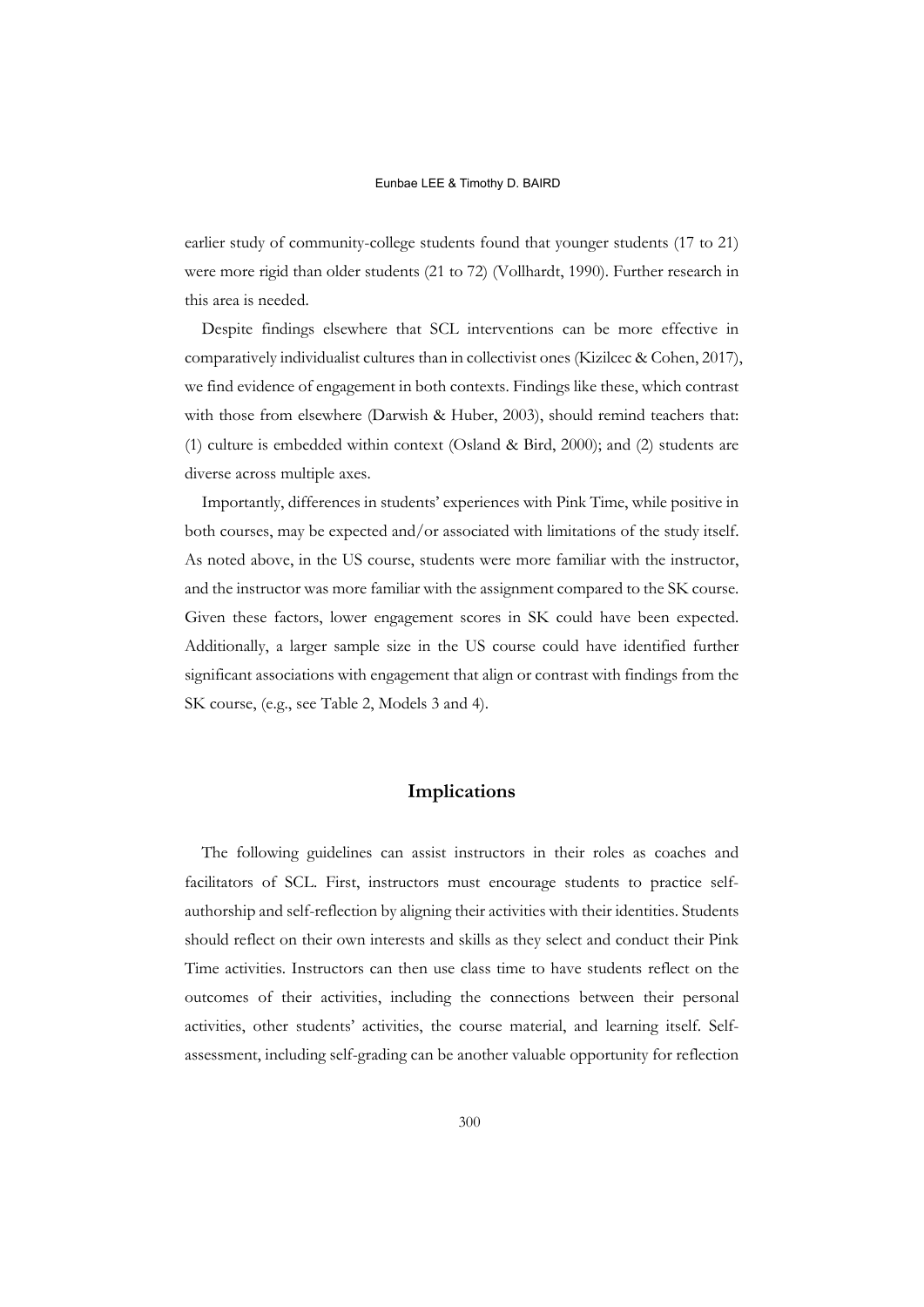earlier study of community-college students found that younger students (17 to 21) were more rigid than older students (21 to 72) (Vollhardt, 1990). Further research in this area is needed.

Despite findings elsewhere that SCL interventions can be more effective in comparatively individualist cultures than in collectivist ones (Kizilcec & Cohen, 2017), we find evidence of engagement in both contexts. Findings like these, which contrast with those from elsewhere (Darwish & Huber, 2003), should remind teachers that: (1) culture is embedded within context (Osland & Bird, 2000); and (2) students are diverse across multiple axes.

Importantly, differences in students' experiences with Pink Time, while positive in both courses, may be expected and/or associated with limitations of the study itself. As noted above, in the US course, students were more familiar with the instructor, and the instructor was more familiar with the assignment compared to the SK course. Given these factors, lower engagement scores in SK could have been expected. Additionally, a larger sample size in the US course could have identified further significant associations with engagement that align or contrast with findings from the SK course, (e.g., see Table 2, Models 3 and 4).

# **Implications**

The following guidelines can assist instructors in their roles as coaches and facilitators of SCL. First, instructors must encourage students to practice selfauthorship and self-reflection by aligning their activities with their identities. Students should reflect on their own interests and skills as they select and conduct their Pink Time activities. Instructors can then use class time to have students reflect on the outcomes of their activities, including the connections between their personal activities, other students' activities, the course material, and learning itself. Selfassessment, including self-grading can be another valuable opportunity for reflection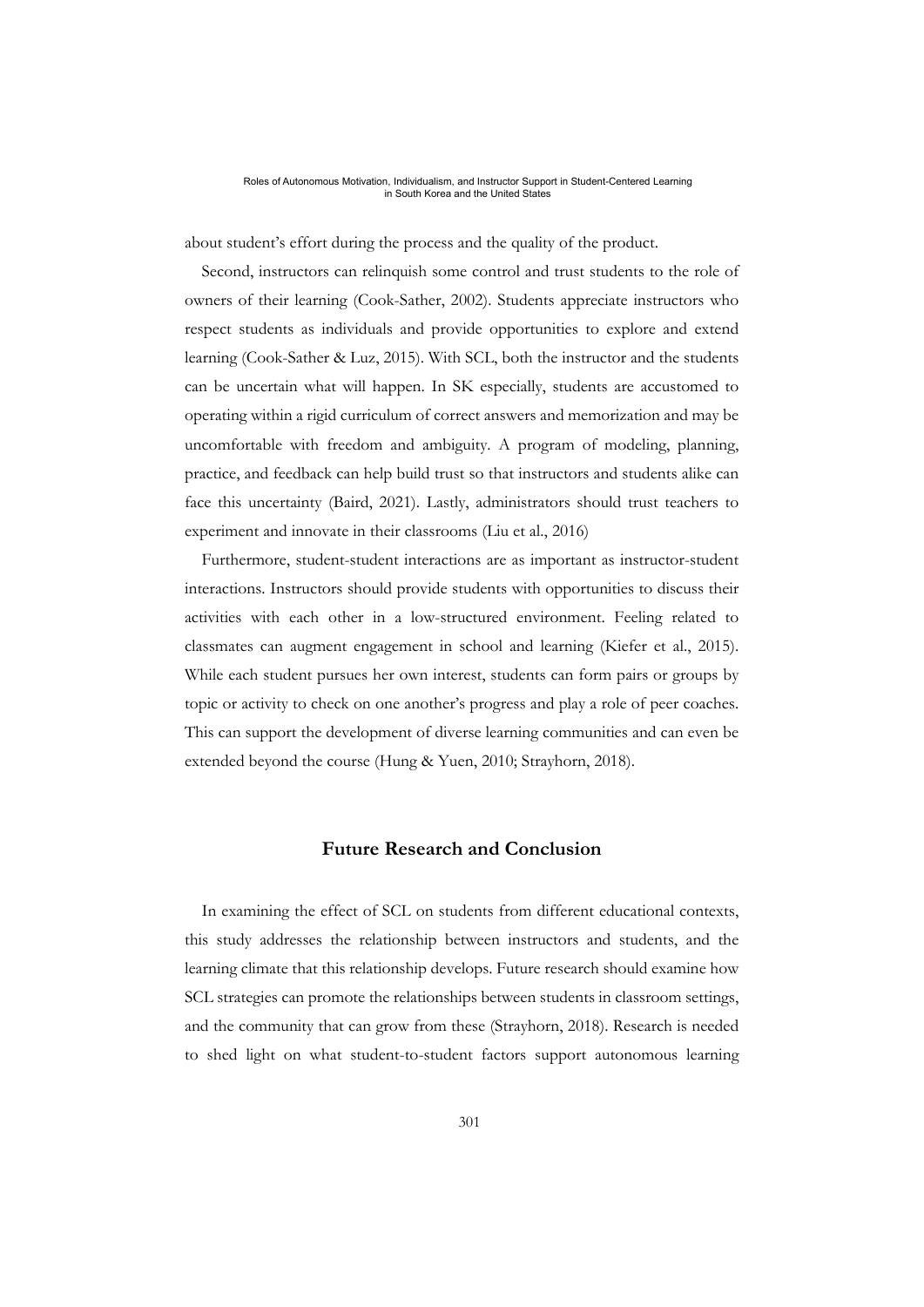about student's effort during the process and the quality of the product.

Second, instructors can relinquish some control and trust students to the role of owners of their learning (Cook-Sather, 2002). Students appreciate instructors who respect students as individuals and provide opportunities to explore and extend learning (Cook-Sather & Luz, 2015). With SCL, both the instructor and the students can be uncertain what will happen. In SK especially, students are accustomed to operating within a rigid curriculum of correct answers and memorization and may be uncomfortable with freedom and ambiguity. A program of modeling, planning, practice, and feedback can help build trust so that instructors and students alike can face this uncertainty (Baird, 2021). Lastly, administrators should trust teachers to experiment and innovate in their classrooms (Liu et al., 2016)

Furthermore, student-student interactions are as important as instructor-student interactions. Instructors should provide students with opportunities to discuss their activities with each other in a low-structured environment. Feeling related to classmates can augment engagement in school and learning (Kiefer et al., 2015). While each student pursues her own interest, students can form pairs or groups by topic or activity to check on one another's progress and play a role of peer coaches. This can support the development of diverse learning communities and can even be extended beyond the course (Hung & Yuen, 2010; Strayhorn, 2018).

# **Future Research and Conclusion**

In examining the effect of SCL on students from different educational contexts, this study addresses the relationship between instructors and students, and the learning climate that this relationship develops. Future research should examine how SCL strategies can promote the relationships between students in classroom settings, and the community that can grow from these (Strayhorn, 2018). Research is needed to shed light on what student-to-student factors support autonomous learning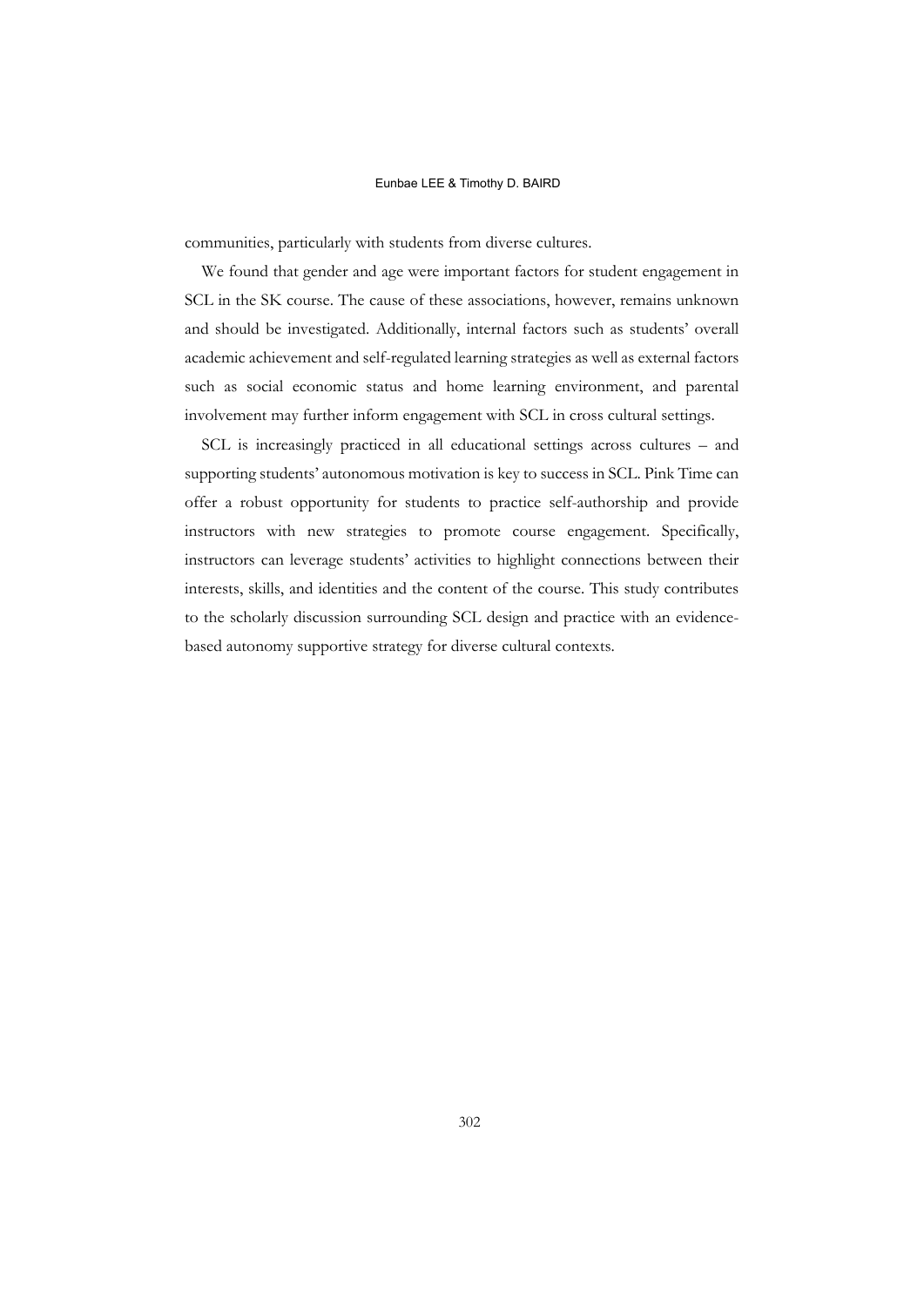communities, particularly with students from diverse cultures.

We found that gender and age were important factors for student engagement in SCL in the SK course. The cause of these associations, however, remains unknown and should be investigated. Additionally, internal factors such as students' overall academic achievement and self-regulated learning strategies as well as external factors such as social economic status and home learning environment, and parental involvement may further inform engagement with SCL in cross cultural settings.

SCL is increasingly practiced in all educational settings across cultures – and supporting students' autonomous motivation is key to success in SCL. Pink Time can offer a robust opportunity for students to practice self-authorship and provide instructors with new strategies to promote course engagement. Specifically, instructors can leverage students' activities to highlight connections between their interests, skills, and identities and the content of the course. This study contributes to the scholarly discussion surrounding SCL design and practice with an evidencebased autonomy supportive strategy for diverse cultural contexts.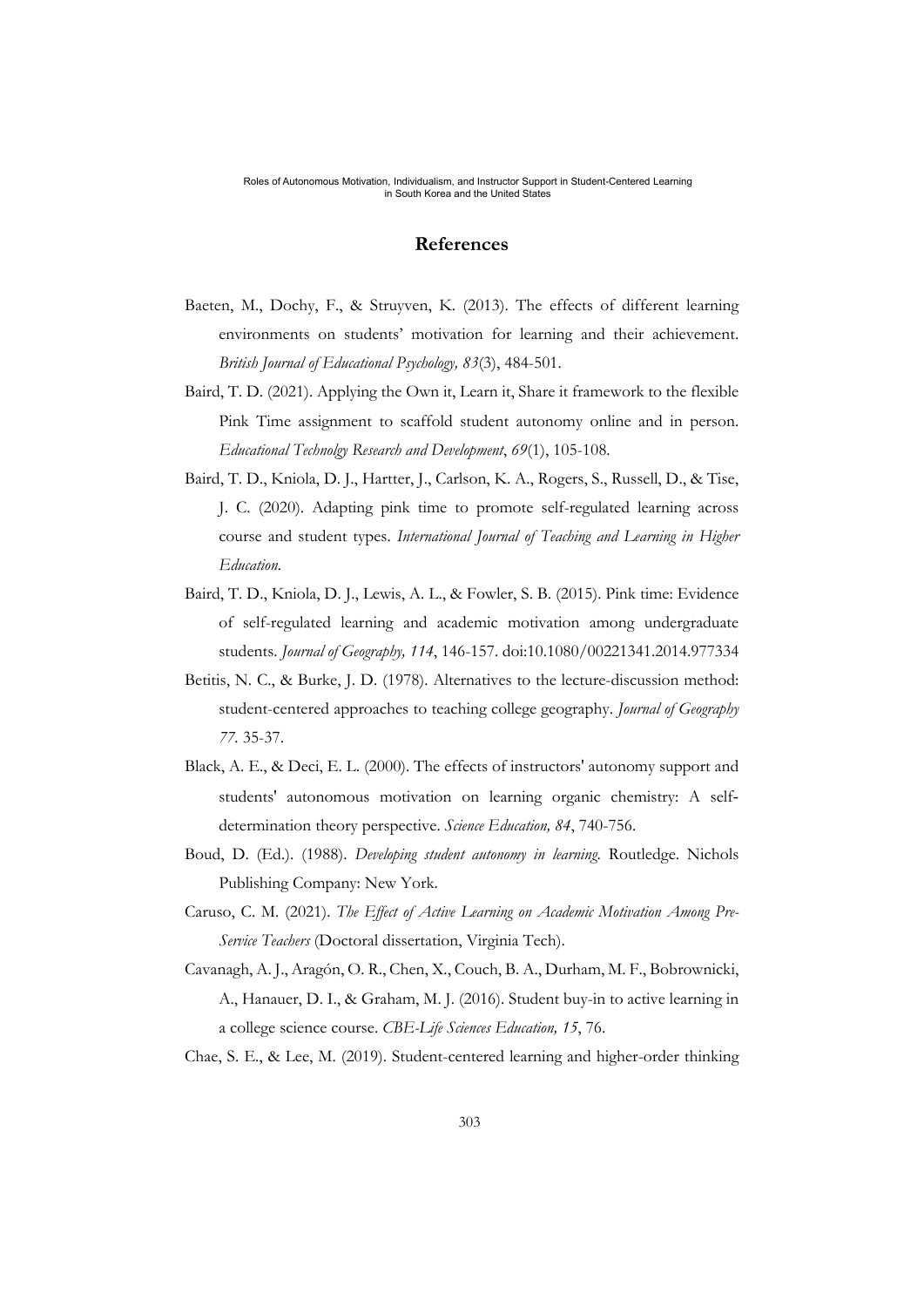## **References**

- Baeten, M., Dochy, F., & Struyven, K. (2013). The effects of different learning environments on students' motivation for learning and their achievement. *British Journal of Educational Psychology, 83*(3), 484-501.
- Baird, T. D. (2021). Applying the Own it, Learn it, Share it framework to the flexible Pink Time assignment to scaffold student autonomy online and in person. *Educational Technolgy Research and Development*, *69*(1), 105-108.
- Baird, T. D., Kniola, D. J., Hartter, J., Carlson, K. A., Rogers, S., Russell, D., & Tise, J. C. (2020). Adapting pink time to promote self-regulated learning across course and student types. *International Journal of Teaching and Learning in Higher Education*.
- Baird, T. D., Kniola, D. J., Lewis, A. L., & Fowler, S. B. (2015). Pink time: Evidence of self-regulated learning and academic motivation among undergraduate students. *Journal of Geography, 114*, 146-157. doi:10.1080/00221341.2014.977334
- Betitis, N. C., & Burke, J. D. (1978). Alternatives to the lecture-discussion method: student-centered approaches to teaching college geography. *Journal of Geography 77.* 35-37.
- Black, A. E., & Deci, E. L. (2000). The effects of instructors' autonomy support and students' autonomous motivation on learning organic chemistry: A selfdetermination theory perspective. *Science Education, 84*, 740-756.
- Boud, D. (Ed.). (1988). *Developing student autonomy in learning*. Routledge. Nichols Publishing Company: New York.
- Caruso, C. M. (2021). *The Effect of Active Learning on Academic Motivation Among Pre-Service Teachers* (Doctoral dissertation, Virginia Tech).
- Cavanagh, A. J., Aragón, O. R., Chen, X., Couch, B. A., Durham, M. F., Bobrownicki, A., Hanauer, D. I., & Graham, M. J. (2016). Student buy-in to active learning in a college science course. *CBE-Life Sciences Education, 15*, 76.
- Chae, S. E., & Lee, M. (2019). Student-centered learning and higher-order thinking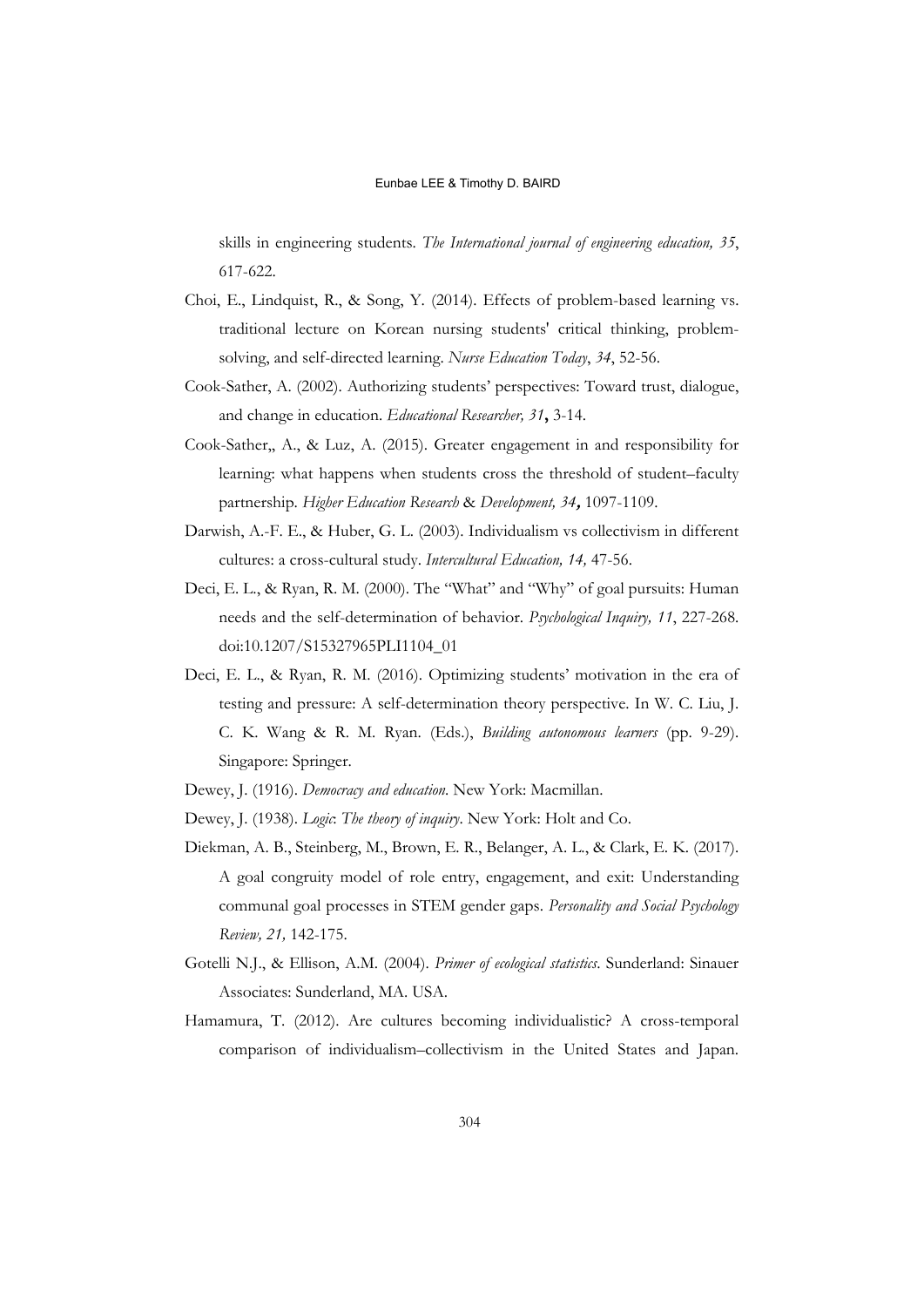skills in engineering students. *The International journal of engineering education, 35*, 617-622.

- Choi, E., Lindquist, R., & Song, Y. (2014). Effects of problem-based learning vs. traditional lecture on Korean nursing students' critical thinking, problemsolving, and self-directed learning. *Nurse Education Today*, *34*, 52-56.
- Cook-Sather, A. (2002). Authorizing students' perspectives: Toward trust, dialogue, and change in education. *Educational Researcher, 31***,** 3-14.
- Cook-Sather,, A., & Luz, A. (2015). Greater engagement in and responsibility for learning: what happens when students cross the threshold of student–faculty partnership. *Higher Education Research* & *Development, 34***,** 1097-1109.
- Darwish, A.-F. E., & Huber, G. L. (2003). Individualism vs collectivism in different cultures: a cross-cultural study. *Intercultural Education, 14,* 47-56.
- Deci, E. L., & Ryan, R. M. (2000). The "What" and "Why" of goal pursuits: Human needs and the self-determination of behavior. *Psychological Inquiry, 11*, 227-268. doi:10.1207/S15327965PLI1104\_01
- Deci, E. L., & Ryan, R. M. (2016). Optimizing students' motivation in the era of testing and pressure: A self-determination theory perspective. In W. C. Liu, J. C. K. Wang & R. M. Ryan. (Eds.), *Building autonomous learners* (pp. 9-29). Singapore: Springer.
- Dewey, J. (1916). *Democracy and education*. New York: Macmillan.
- Dewey, J. (1938). *Logic*: *The theory of inquiry*. New York: Holt and Co.
- Diekman, A. B., Steinberg, M., Brown, E. R., Belanger, A. L., & Clark, E. K. (2017). A goal congruity model of role entry, engagement, and exit: Understanding communal goal processes in STEM gender gaps. *Personality and Social Psychology Review, 21,* 142-175.
- Gotelli N.J., & Ellison, A.M. (2004). *Primer of ecological statistics*. Sunderland: Sinauer Associates: Sunderland, MA. USA.
- Hamamura, T. (2012). Are cultures becoming individualistic? A cross-temporal comparison of individualism–collectivism in the United States and Japan.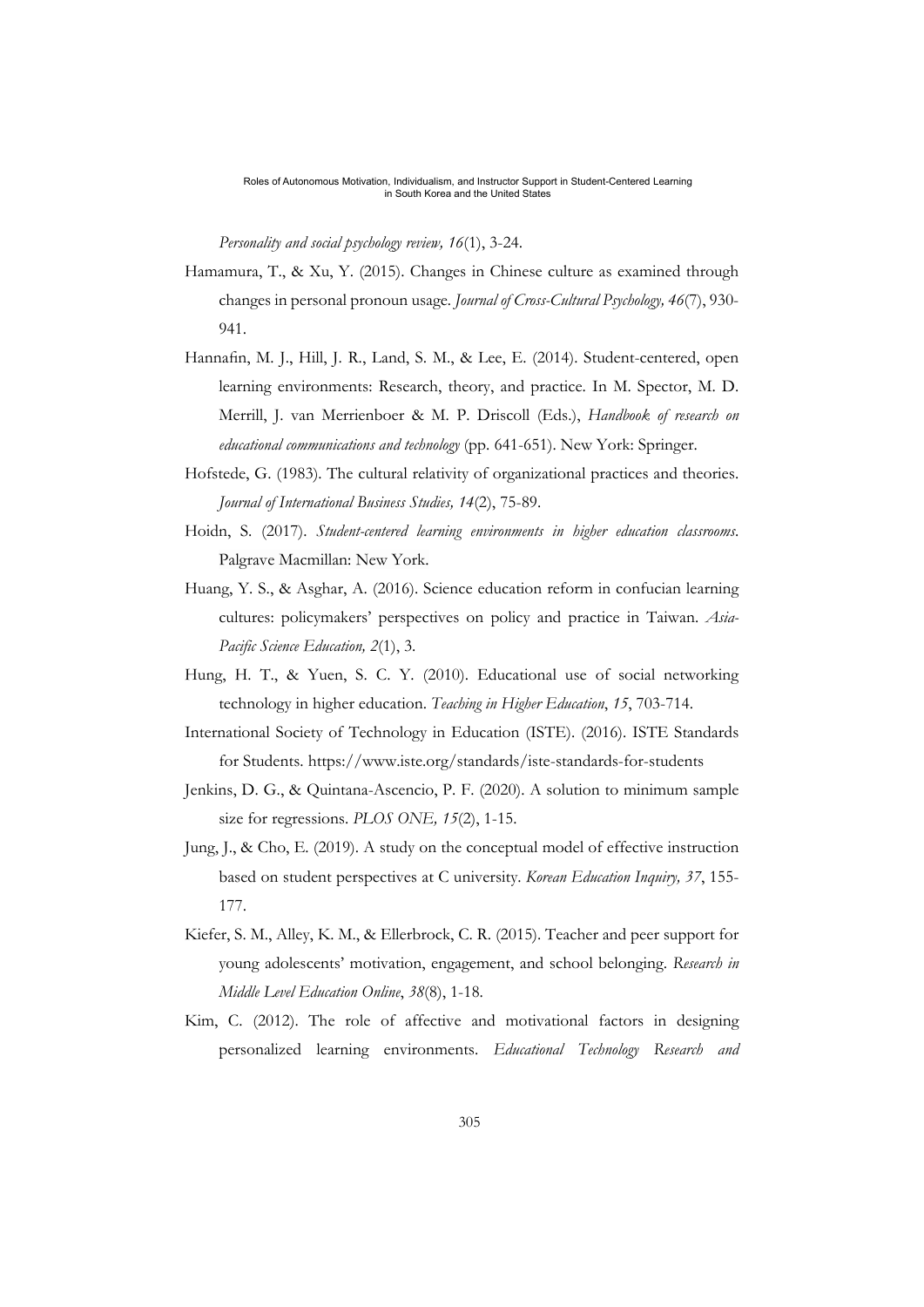*Personality and social psychology review, 16*(1), 3-24.

- Hamamura, T., & Xu, Y. (2015). Changes in Chinese culture as examined through changes in personal pronoun usage*. Journal of Cross-Cultural Psychology, 46*(7), 930- 941.
- Hannafin, M. J., Hill, J. R., Land, S. M., & Lee, E. (2014). Student-centered, open learning environments: Research, theory, and practice. In M. Spector, M. D. Merrill, J. van Merrienboer & M. P. Driscoll (Eds.), *Handbook of research on educational communications and technology* (pp. 641-651). New York: Springer.
- Hofstede, G. (1983). The cultural relativity of organizational practices and theories. *Journal of International Business Studies, 14*(2), 75-89.
- Hoidn, S. (2017). *Student-centered learning environments in higher education classrooms*. Palgrave Macmillan: New York.
- Huang, Y. S., & Asghar, A. (2016). Science education reform in confucian learning cultures: policymakers' perspectives on policy and practice in Taiwan. *Asia-Pacific Science Education, 2*(1), 3.
- Hung, H. T., & Yuen, S. C. Y. (2010). Educational use of social networking technology in higher education. *Teaching in Higher Education*, *15*, 703-714.
- International Society of Technology in Education (ISTE). (2016). ISTE Standards for Students. https://www.iste.org/standards/iste-standards-for-students
- Jenkins, D. G., & Quintana-Ascencio, P. F. (2020). A solution to minimum sample size for regressions. *PLOS ONE, 15*(2), 1-15.
- Jung, J., & Cho, E. (2019). A study on the conceptual model of effective instruction based on student perspectives at C university. *Korean Education Inquiry, 37*, 155- 177.
- Kiefer, S. M., Alley, K. M., & Ellerbrock, C. R. (2015). Teacher and peer support for young adolescents' motivation, engagement, and school belonging. *Research in Middle Level Education Online*, *38*(8), 1-18.
- Kim, C. (2012). The role of affective and motivational factors in designing personalized learning environments. *Educational Technology Research and*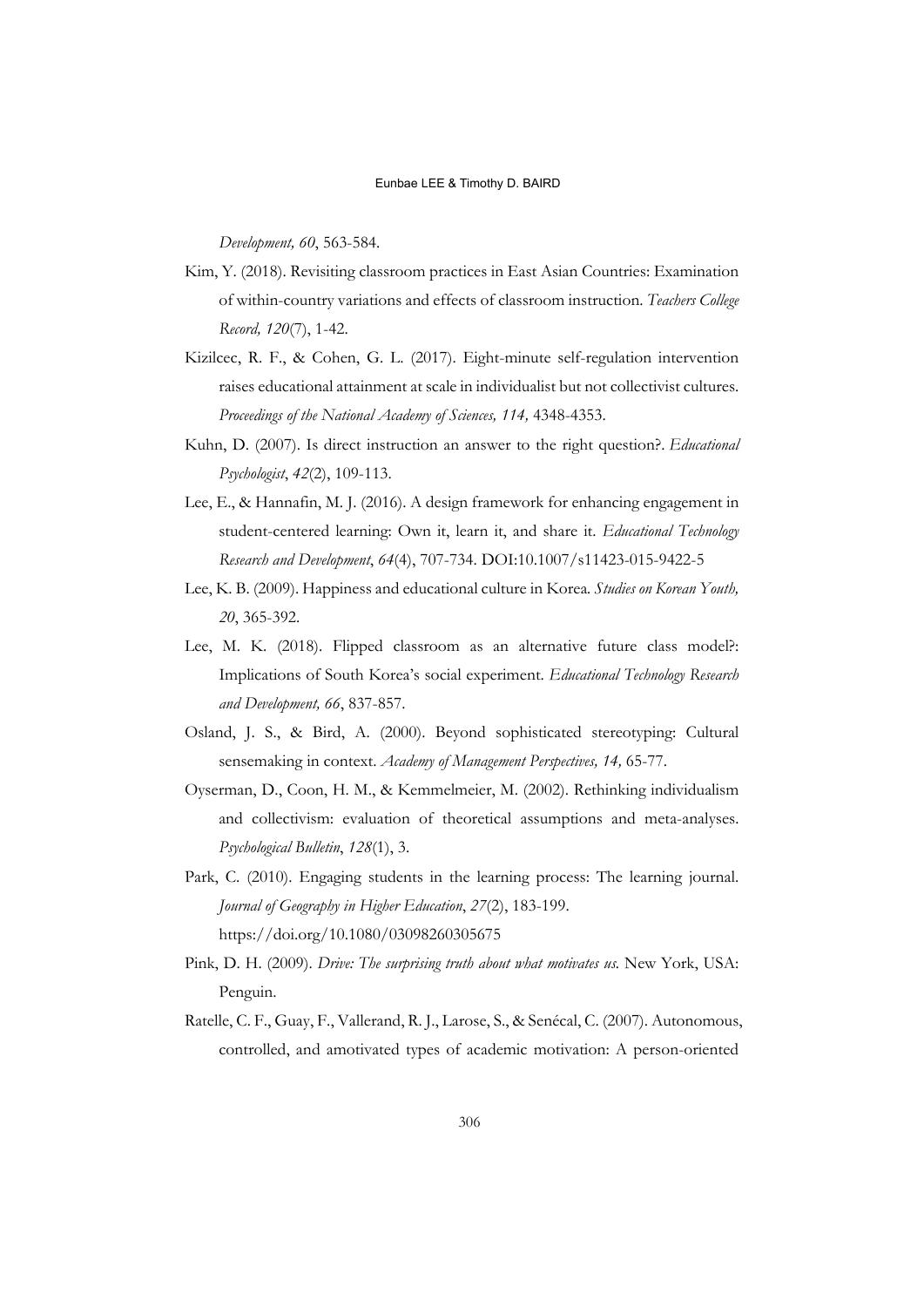*Development, 60*, 563-584.

- Kim, Y. (2018). Revisiting classroom practices in East Asian Countries: Examination of within-country variations and effects of classroom instruction. *Teachers College Record, 120*(7), 1-42.
- Kizilcec, R. F., & Cohen, G. L. (2017). Eight-minute self-regulation intervention raises educational attainment at scale in individualist but not collectivist cultures. *Proceedings of the National Academy of Sciences, 114,* 4348-4353.
- Kuhn, D. (2007). Is direct instruction an answer to the right question?. *Educational Psychologist*, *42*(2), 109-113.
- Lee, E., & Hannafin, M. J. (2016). A design framework for enhancing engagement in student-centered learning: Own it, learn it, and share it. *Educational Technology Research and Development*, *64*(4), 707-734. DOI:10.1007/s11423-015-9422-5
- Lee, K. B. (2009). Happiness and educational culture in Korea*. Studies on Korean Youth, 20*, 365-392.
- Lee, M. K. (2018). Flipped classroom as an alternative future class model?: Implications of South Korea's social experiment. *Educational Technology Research and Development, 66*, 837-857.
- Osland, J. S., & Bird, A. (2000). Beyond sophisticated stereotyping: Cultural sensemaking in context. *Academy of Management Perspectives, 14,* 65-77.
- Oyserman, D., Coon, H. M., & Kemmelmeier, M. (2002). Rethinking individualism and collectivism: evaluation of theoretical assumptions and meta-analyses. *Psychological Bulletin*, *128*(1), 3.
- Park, C. (2010). Engaging students in the learning process: The learning journal. *Journal of Geography in Higher Education*, *27*(2), 183-199. https://doi.org/10.1080/03098260305675
- Pink, D. H. (2009). *Drive: The surprising truth about what motivates us.* New York, USA: Penguin.
- Ratelle, C. F., Guay, F., Vallerand, R. J., Larose, S., & Senécal, C. (2007). Autonomous, controlled, and amotivated types of academic motivation: A person-oriented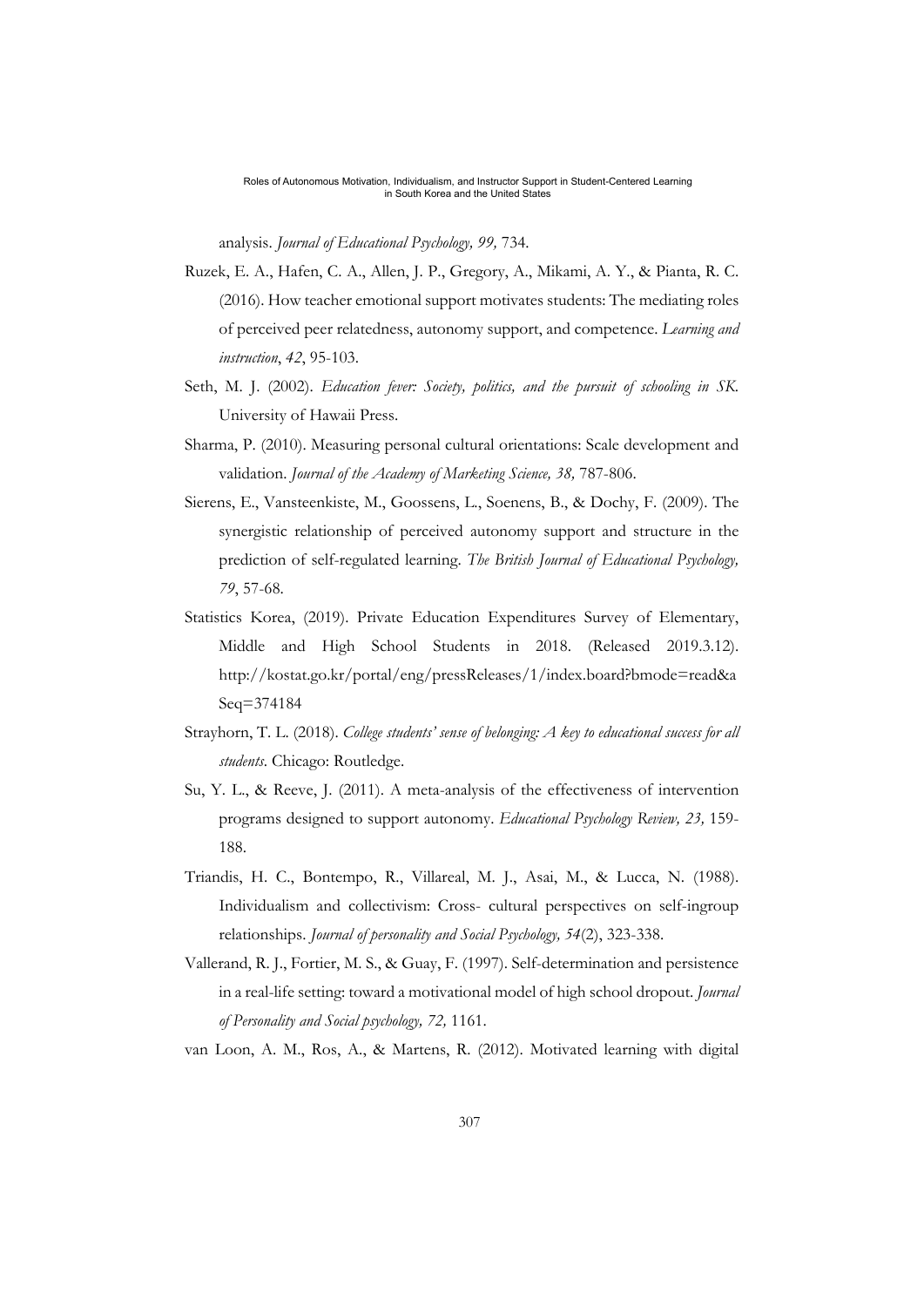analysis. *Journal of Educational Psychology, 99,* 734.

- Ruzek, E. A., Hafen, C. A., Allen, J. P., Gregory, A., Mikami, A. Y., & Pianta, R. C. (2016). How teacher emotional support motivates students: The mediating roles of perceived peer relatedness, autonomy support, and competence. *Learning and instruction*, *42*, 95-103.
- Seth, M. J. (2002). *Education fever: Society, politics, and the pursuit of schooling in SK*. University of Hawaii Press.
- Sharma, P. (2010). Measuring personal cultural orientations: Scale development and validation. *Journal of the Academy of Marketing Science, 38,* 787-806.
- Sierens, E., Vansteenkiste, M., Goossens, L., Soenens, B., & Dochy, F. (2009). The synergistic relationship of perceived autonomy support and structure in the prediction of self-regulated learning. *The British Journal of Educational Psychology, 79*, 57-68.
- Statistics Korea, (2019). Private Education Expenditures Survey of Elementary, Middle and High School Students in 2018. (Released 2019.3.12). http://kostat.go.kr/portal/eng/pressReleases/1/index.board?bmode=read&a Seq=374184
- Strayhorn, T. L. (2018). *College students' sense of belonging: A key to educational success for all students*. Chicago: Routledge.
- Su, Y. L., & Reeve, J. (2011). A meta-analysis of the effectiveness of intervention programs designed to support autonomy. *Educational Psychology Review, 23,* 159- 188.
- Triandis, H. C., Bontempo, R., Villareal, M. J., Asai, M., & Lucca, N. (1988). Individualism and collectivism: Cross- cultural perspectives on self-ingroup relationships. *Journal of personality and Social Psychology, 54*(2), 323-338.
- Vallerand, R. J., Fortier, M. S., & Guay, F. (1997). Self-determination and persistence in a real-life setting: toward a motivational model of high school dropout. *Journal of Personality and Social psychology, 72,* 1161.
- van Loon, A. M., Ros, A., & Martens, R. (2012). Motivated learning with digital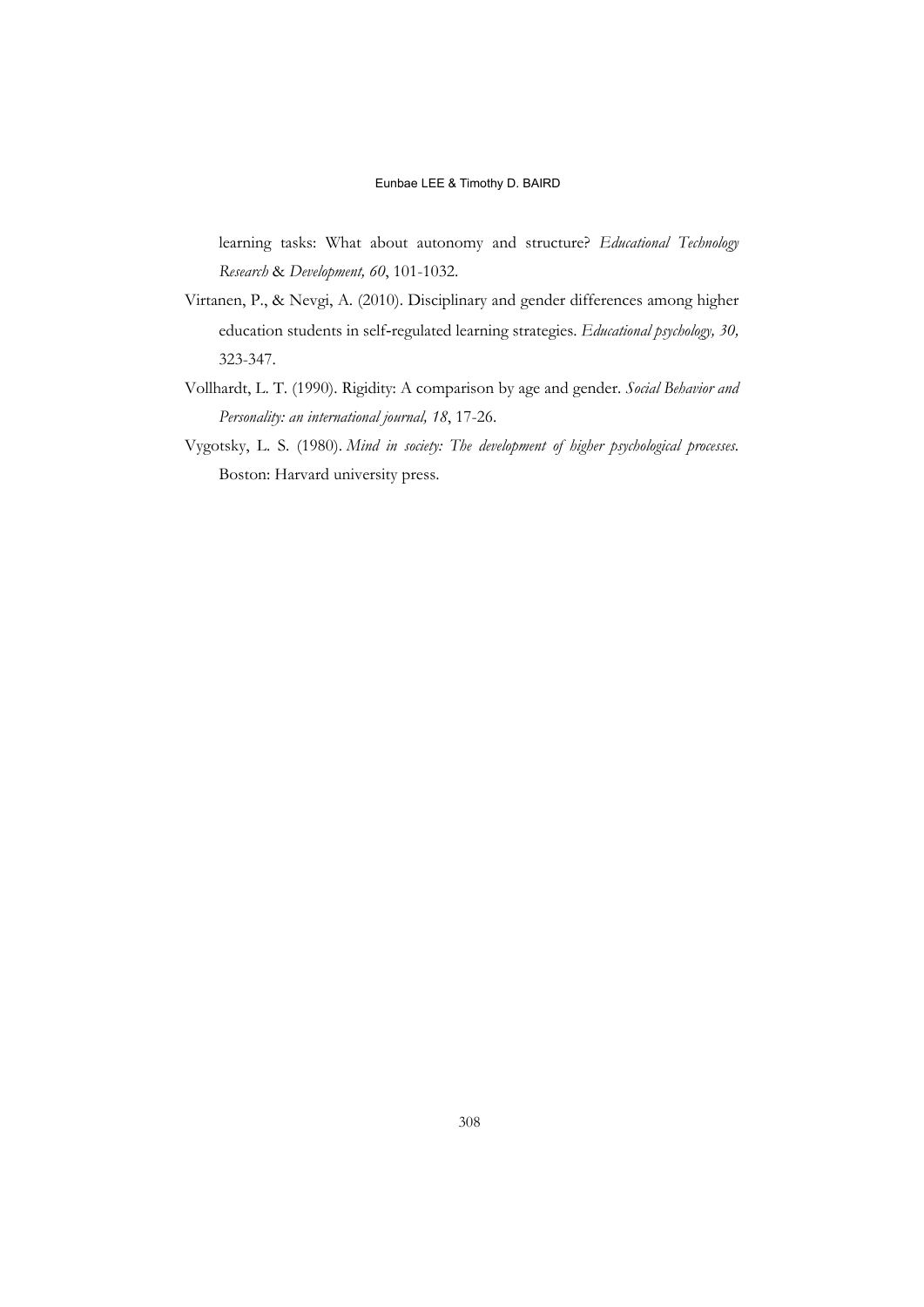learning tasks: What about autonomy and structure? *Educational Technology Research* & *Development, 60*, 101-1032.

- Virtanen, P., & Nevgi, A. (2010). Disciplinary and gender differences among higher education students in self‐regulated learning strategies. *Educational psychology, 30,* 323-347.
- Vollhardt, L. T. (1990). Rigidity: A comparison by age and gender. *Social Behavior and Personality: an international journal, 18*, 17-26.
- Vygotsky, L. S. (1980). *Mind in society: The development of higher psychological processes*. Boston: Harvard university press.